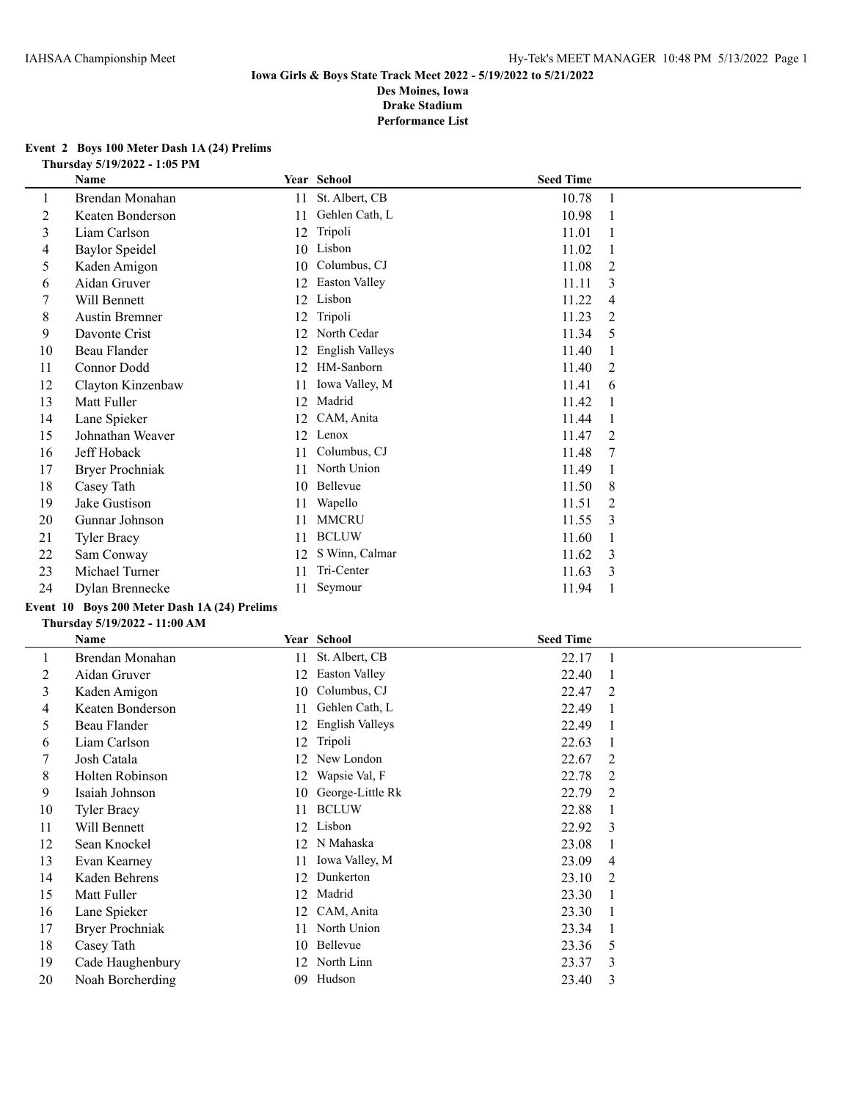#### **Event 2 Boys 100 Meter Dash 1A (24) Prelims Thursday 5/19/2022 - 1:05 PM**

|    | Name                                         |    | Year School          | <b>Seed Time</b> |                |
|----|----------------------------------------------|----|----------------------|------------------|----------------|
| 1  | Brendan Monahan                              | 11 | St. Albert, CB       | 10.78            | 1              |
| 2  | Keaten Bonderson                             | 11 | Gehlen Cath, L       | 10.98            | -1             |
| 3  | Liam Carlson                                 | 12 | Tripoli              | 11.01            |                |
| 4  | <b>Baylor Speidel</b>                        | 10 | Lisbon               | 11.02            | 1              |
| 5  | Kaden Amigon                                 | 10 | Columbus, CJ         | 11.08            | 2              |
| 6  | Aidan Gruver                                 | 12 | <b>Easton Valley</b> | 11.11            | 3              |
| 7  | Will Bennett                                 | 12 | Lisbon               | 11.22            | 4              |
| 8  | <b>Austin Bremner</b>                        | 12 | Tripoli              | 11.23            | $\overline{2}$ |
| 9  | Davonte Crist                                | 12 | North Cedar          | 11.34            | 5              |
| 10 | Beau Flander                                 | 12 | English Valleys      | 11.40            |                |
| 11 | Connor Dodd                                  | 12 | HM-Sanborn           | 11.40            | 2              |
| 12 | Clayton Kinzenbaw                            | 11 | Iowa Valley, M       | 11.41            | 6              |
| 13 | Matt Fuller                                  | 12 | Madrid               | 11.42            |                |
| 14 | Lane Spieker                                 | 12 | CAM, Anita           | 11.44            |                |
| 15 | Johnathan Weaver                             | 12 | Lenox                | 11.47            | 2              |
| 16 | Jeff Hoback                                  | 11 | Columbus, CJ         | 11.48            | 7              |
| 17 | <b>Bryer Prochniak</b>                       | 11 | North Union          | 11.49            |                |
| 18 | Casey Tath                                   | 10 | Bellevue             | 11.50            | 8              |
| 19 | Jake Gustison                                | 11 | Wapello              | 11.51            | 2              |
| 20 | Gunnar Johnson                               | 11 | <b>MMCRU</b>         | 11.55            | 3              |
| 21 | <b>Tyler Bracy</b>                           | 11 | <b>BCLUW</b>         | 11.60            | 1              |
| 22 | Sam Conway                                   | 12 | S Winn, Calmar       | 11.62            | 3              |
| 23 | Michael Turner                               | 11 | Tri-Center           | 11.63            | 3              |
| 24 | Dylan Brennecke                              | 11 | Seymour              | 11.94            | $\mathbf{1}$   |
|    | Event 10 Boys 200 Meter Dash 1A (24) Prelims |    |                      |                  |                |
|    | Thursday 5/19/2022 - 11:00 AM                |    |                      |                  |                |

|    | Name               |    | Year School          | <b>Seed Time</b> |                |
|----|--------------------|----|----------------------|------------------|----------------|
|    | Brendan Monahan    | 11 | St. Albert, CB       | 22.17            | $\Box$         |
| 2  | Aidan Gruver       | 12 | <b>Easton Valley</b> | 22.40            |                |
| 3  | Kaden Amigon       | 10 | Columbus, CJ         | 22.47            | $\overline{2}$ |
| 4  | Keaten Bonderson   | 11 | Gehlen Cath, L       | 22.49            |                |
| 5  | Beau Flander       | 12 | English Valleys      | 22.49            |                |
| 6  | Liam Carlson       | 12 | Tripoli              | 22.63            |                |
|    | Josh Catala        | 12 | New London           | 22.67            | $\overline{2}$ |
| 8  | Holten Robinson    | 12 | Wapsie Val, F        | 22.78            | 2              |
| 9  | Isaiah Johnson     | 10 | George-Little Rk     | 22.79            | 2              |
| 10 | <b>Tyler Bracy</b> | 11 | <b>BCLUW</b>         | 22.88            |                |
| 11 | Will Bennett       | 12 | Lisbon               | 22.92            | 3              |
| 12 | Sean Knockel       | 12 | N Mahaska            | 23.08            |                |
| 13 | Evan Kearney       | 11 | Iowa Valley, M       | 23.09            | 4              |
| 14 | Kaden Behrens      | 12 | Dunkerton            | 23.10            | 2              |
| 15 | Matt Fuller        | 12 | Madrid               | 23.30            |                |
| 16 | Lane Spieker       | 12 | CAM, Anita           | 23.30            |                |
| 17 | Bryer Prochniak    | 11 | North Union          | 23.34            |                |
| 18 | Casey Tath         | 10 | Bellevue             | 23.36            | 5              |
| 19 | Cade Haughenbury   | 12 | North Linn           | 23.37            | 3              |
| 20 | Noah Borcherding   | 09 | Hudson               | 23.40            | 3              |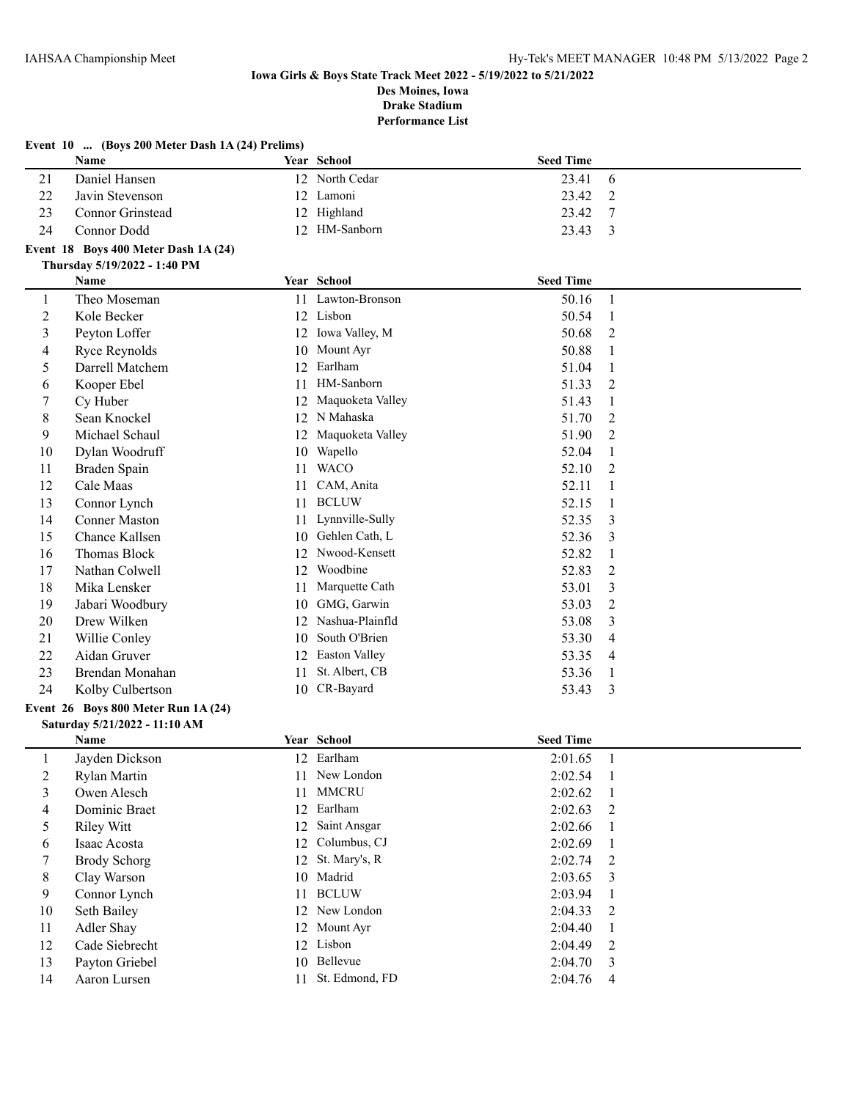## **Event 10 ... (Boys 200 Meter Dash 1A (24) Prelims) Name Year School Seed Time** 21 Daniel Hansen 12 North Cedar 23.41 6 22 Javin Stevenson 12 Lamoni 23.42 2 23 Connor Grinstead 12 Highland 23.42 7 24 Connor Dodd 12 HM-Sanborn 23.43 3 **Event 18 Boys 400 Meter Dash 1A (24) Thursday 5/19/2022 - 1:40 PM Name School Seed Time Seed Time Seed Time** 1 Theo Moseman 11 Lawton-Bronson 50.16 1 2 Kole Becker 12 Lisbon 50.54 1 3 Peyton Loffer 12 Iowa Valley, M 50.68 2 4 Ryce Reynolds 10 Mount Ayr 50.88 1 5 Darrell Matchem 12 Earlham 51.04 1 6 Kooper Ebel 11 HM-Sanborn 51.33 2 7 Cy Huber 12 Maquoketa Valley 51.43 1 8 Sean Knockel 12 N Mahaska 51.70 2 9 Michael Schaul 12 Maquoketa Valley 51.90 2 10 Dylan Woodruff 10 Wapello 52.04 1 11 Braden Spain 11 WACO 52.10 2 12 Cale Maas 11 CAM, Anita 52.11 1 13 Connor Lynch 11 BCLUW 52.15 1 14 Conner Maston 11 Lynnville-Sully 52.35 3 15 Chance Kallsen 10 Gehlen Cath, L 52.36 3 16 Thomas Block 12 Nwood-Kensett 52.82 1<br>17 Nathan Colwell 12 Woodbine 52.82 2 17 Nathan Colwell 12 Woodbine 52.83 2 18 Mika Lensker 11 Marquette Cath 53.01 3 19 Jabari Woodbury 10 GMG, Garwin 53.03 2 20 Drew Wilken 12 Nashua-Plainfld 53.08 3 21 Willie Conley 10 South O'Brien 53.30 4 22 Aidan Gruver 12 Easton Valley 53.35 4 23 Brendan Monahan 11 St. Albert, CB 53.36 1 24 Kolby Culbertson 10 CR-Bayard 53.43 3 **Event 26 Boys 800 Meter Run 1A (24) Saturday 5/21/2022 - 11:10 AM**

|    | Name           | Year School       | <b>Seed Time</b> |                         |
|----|----------------|-------------------|------------------|-------------------------|
|    | Jayden Dickson | 12 Earlham        | 2:01.65          | $\blacksquare$          |
| 2  | Rylan Martin   | 11 New London     | 2:02.54          | $\blacksquare$          |
| 3  | Owen Alesch    | 11 MMCRU          | 2:02.62          |                         |
| 4  | Dominic Braet  | 12 Earlham        | 2:02.63          | 2                       |
| 5  | Riley Witt     | 12 Saint Ansgar   | 2:02.66          |                         |
| 6  | Isaac Acosta   | 12 Columbus, CJ   | 2:02.69          | $\overline{1}$          |
|    | Brody Schorg   | 12 St. Mary's, R  | 2:02.74          | $\overline{2}$          |
| 8  | Clay Warson    | 10 Madrid         | 2:03.65          | $\overline{\mathbf{3}}$ |
| 9  | Connor Lynch   | 11 BCLUW          | 2:03.94          |                         |
| 10 | Seth Bailey    | 12 New London     | 2:04.33          | $\overline{2}$          |
| 11 | Adler Shay     | 12 Mount Ayr      | 2:04.40          |                         |
| 12 | Cade Siebrecht | 12 Lisbon         | 2:04.49          | 2                       |
| 13 | Payton Griebel | 10 Bellevue       | 2:04.70          | $\overline{\mathbf{3}}$ |
| 14 | Aaron Lursen   | 11 St. Edmond, FD | 2:04.76          | $\overline{4}$          |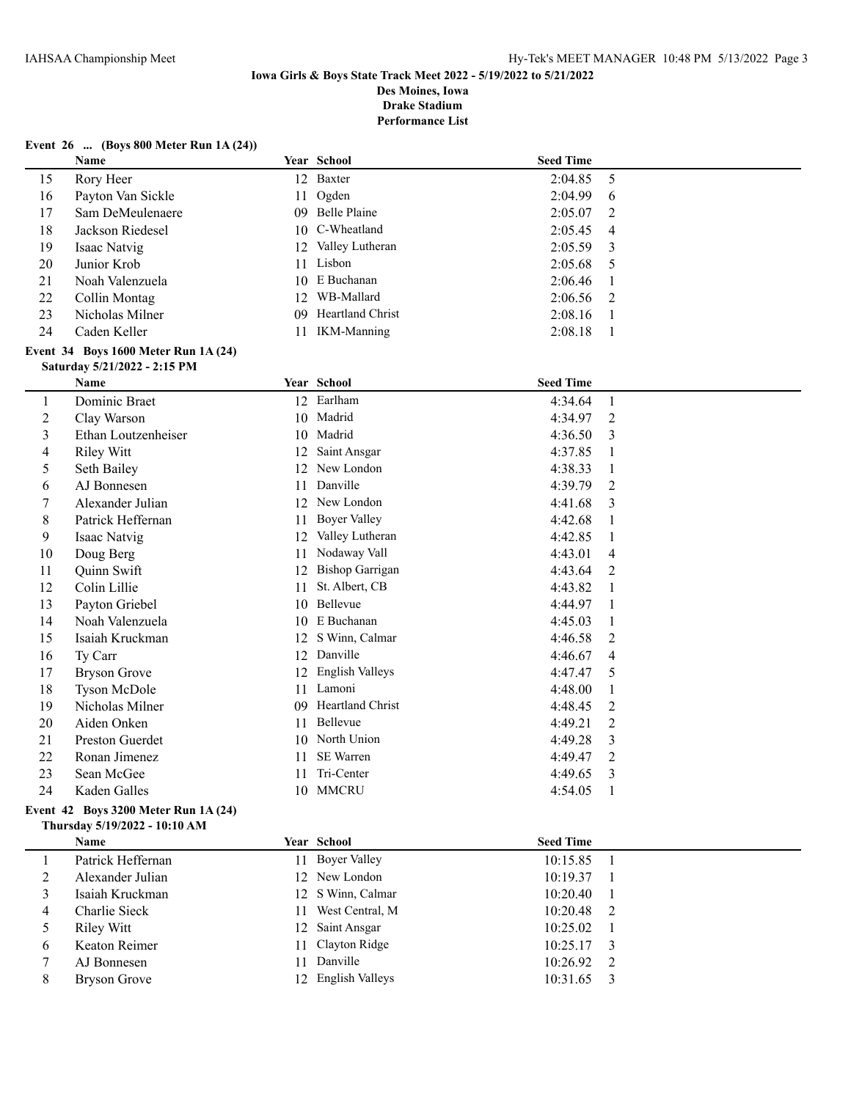**Performance List**

| Event 26  (Boys 800 Meter Run 1A (24)) |  |  |  |  |  |  |  |
|----------------------------------------|--|--|--|--|--|--|--|
|----------------------------------------|--|--|--|--|--|--|--|

|                | Name                                 |    | Year School                     | <b>Seed Time</b>   |                |
|----------------|--------------------------------------|----|---------------------------------|--------------------|----------------|
| 15             | Rory Heer                            |    | 12 Baxter                       | 2:04.85            | 5              |
| 16             | Payton Van Sickle                    | 11 | Ogden                           | 2:04.99            | 6              |
| 17             | Sam DeMeulenaere                     |    | 09 Belle Plaine                 | 2:05.07            | 2              |
| 18             | Jackson Riedesel                     |    | 10 C-Wheatland                  | 2:05.45            | 4              |
| 19             | Isaac Natvig                         | 12 | Valley Lutheran                 | 2:05.59            | 3              |
| 20             | Junior Krob                          | 11 | Lisbon                          | 2:05.68            | 5              |
| 21             | Noah Valenzuela                      |    | 10 E Buchanan                   | 2:06.46            | 1              |
| 22             | Collin Montag                        |    | 12 WB-Mallard                   | 2:06.56            | 2              |
| 23             | Nicholas Milner                      |    | 09 Heartland Christ             | 2:08.16            | 1              |
| 24             | Caden Keller                         |    | 11 IKM-Manning                  | 2:08.18            | 1              |
|                | Event 34 Boys 1600 Meter Run 1A (24) |    |                                 |                    |                |
|                | Saturday 5/21/2022 - 2:15 PM         |    |                                 |                    |                |
|                | Name                                 |    | Year School                     | <b>Seed Time</b>   |                |
| $\mathbf{1}$   | Dominic Braet                        |    | 12 Earlham                      | 4:34.64            | $\mathbf{1}$   |
| 2              | Clay Warson                          |    | 10 Madrid                       | 4:34.97            | 2              |
| 3              | Ethan Loutzenheiser                  |    | 10 Madrid                       | 4:36.50            | 3              |
| 4              | <b>Riley Witt</b>                    | 12 | Saint Ansgar                    | 4:37.85            | 1              |
| 5              | Seth Bailey                          |    | 12 New London                   | 4:38.33            | 1              |
| 6              | AJ Bonnesen                          | 11 | Danville                        | 4:39.79            | 2              |
| $\tau$         | Alexander Julian                     |    | 12 New London                   | 4:41.68            | 3              |
| 8              | Patrick Heffernan                    | 11 | <b>Boyer Valley</b>             | 4:42.68            | 1              |
| 9              | Isaac Natvig                         | 12 | Valley Lutheran                 | 4:42.85            | 1              |
| 10             | Doug Berg                            | 11 | Nodaway Vall                    | 4:43.01            | 4              |
| 11             | Quinn Swift                          |    | 12 Bishop Garrigan              | 4:43.64            | 2              |
| 12             | Colin Lillie                         | 11 | St. Albert, CB                  | 4:43.82            | 1              |
| 13             | Payton Griebel                       |    | 10 Bellevue                     |                    | 1              |
| 14             | Noah Valenzuela                      |    | 10 E Buchanan                   | 4:44.97<br>4:45.03 | 1              |
|                |                                      |    | 12 S Winn, Calmar               |                    |                |
| 15             | Isaiah Kruckman                      |    | 12 Danville                     | 4:46.58            | 2              |
| 16             | Ty Carr                              |    |                                 | 4:46.67            | 4              |
| 17             | <b>Bryson Grove</b>                  |    | 12 English Valleys<br>11 Lamoni | 4:47.47            | 5              |
| 18             | <b>Tyson McDole</b>                  |    |                                 | 4:48.00            | 1              |
| 19             | Nicholas Milner                      |    | 09 Heartland Christ             | 4:48.45            | $\overline{c}$ |
| 20             | Aiden Onken                          | 11 | Bellevue                        | 4:49.21            | 2              |
| 21             | Preston Guerdet                      |    | 10 North Union<br>SE Warren     | 4:49.28            | 3              |
| 22             | Ronan Jimenez                        | 11 |                                 | 4:49.47            | 2              |
| 23             | Sean McGee                           | 11 | Tri-Center                      | 4:49.65            | 3              |
| 24             | Kaden Galles                         |    | 10 MMCRU                        | 4:54.05            | -1             |
|                | Event 42 Boys 3200 Meter Run 1A (24) |    |                                 |                    |                |
|                | Thursday 5/19/2022 - 10:10 AM        |    |                                 |                    |                |
|                | Name                                 |    | Year School                     | <b>Seed Time</b>   |                |
| $\mathbf{1}$   | Patrick Heffernan                    |    | 11 Boyer Valley                 | 10:15.85           | 1              |
| $\overline{2}$ | Alexander Julian                     |    | 12 New London                   | 10:19.37           | 1              |
| 3              | Isaiah Kruckman                      | 12 | S Winn, Calmar                  | 10:20.40           | 1              |
| 4              | Charlie Sieck                        | 11 | West Central, M                 | 10:20.48           | 2              |
| 5              | <b>Riley Witt</b>                    | 12 | Saint Ansgar                    | 10:25.02           | 1              |
| 6              | Keaton Reimer                        | 11 | Clayton Ridge                   | 10:25.17           | 3              |
| 7              | AJ Bonnesen                          | 11 | Danville                        | 10:26.92           | 2              |
| 8              | <b>Bryson Grove</b>                  |    | 12 English Valleys              | 10:31.65           | 3              |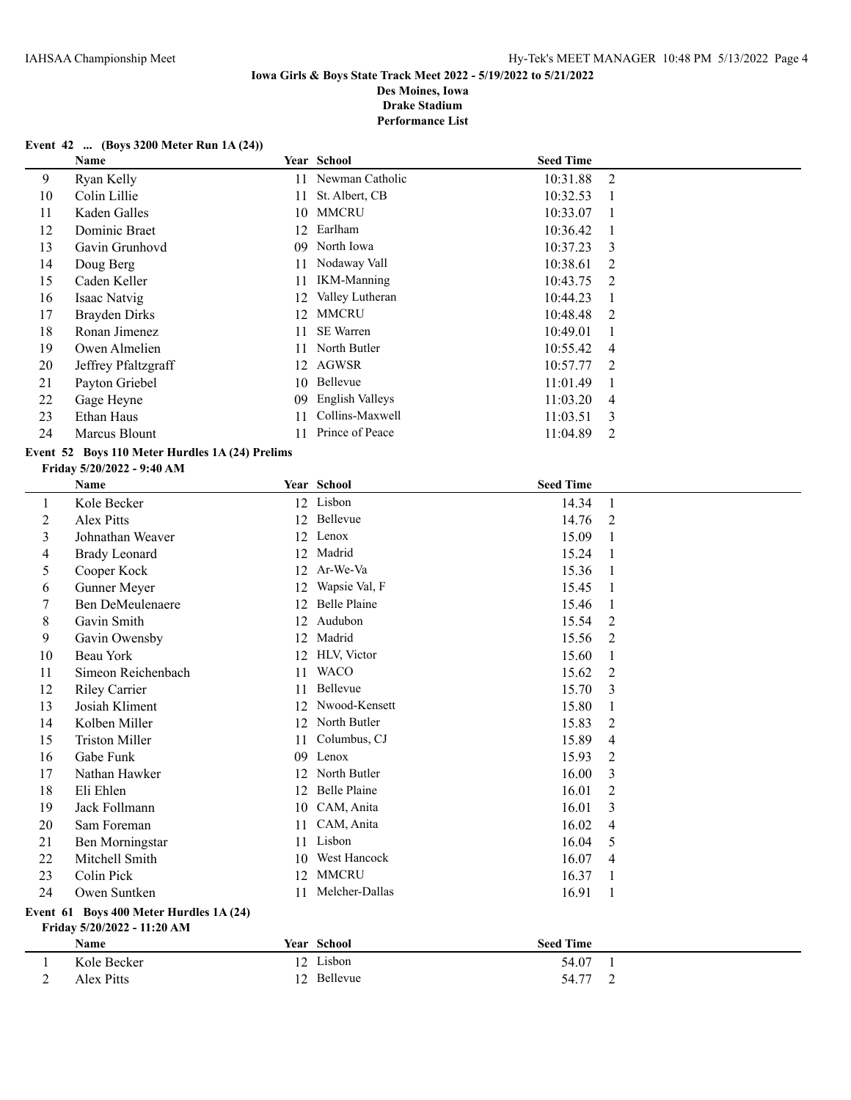**Performance List**

### **Event 42 ... (Boys 3200 Meter Run 1A (24))**

|    | Name                |    | Year School        | <b>Seed Time</b> |                |
|----|---------------------|----|--------------------|------------------|----------------|
| 9  | Ryan Kelly          | 11 | Newman Catholic    | 10:31.88         | 2              |
| 10 | Colin Lillie        | 11 | St. Albert, CB     | 10:32.53         |                |
| 11 | Kaden Galles        |    | 10 MMCRU           | 10:33.07         |                |
| 12 | Dominic Braet       | 12 | Earlham            | 10:36.42         |                |
| 13 | Gavin Grunhovd      |    | 09 North Iowa      | 10:37.23         | 3              |
| 14 | Doug Berg           | 11 | Nodaway Vall       | 10:38.61         | $\mathcal{L}$  |
| 15 | Caden Keller        | 11 | <b>IKM-Manning</b> | 10:43.75         | $\overline{2}$ |
| 16 | Isaac Natvig        | 12 | Valley Lutheran    | 10:44.23         |                |
| 17 | Brayden Dirks       | 12 | MMCRU              | 10:48.48         | 2              |
| 18 | Ronan Jimenez       | 11 | <b>SE</b> Warren   | 10:49.01         |                |
| 19 | Owen Almelien       | 11 | North Butler       | 10:55.42         | $\overline{4}$ |
| 20 | Jeffrey Pfaltzgraff |    | 12 AGWSR           | 10:57.77         | $\overline{2}$ |
| 21 | Payton Griebel      |    | 10 Bellevue        | 11:01.49         |                |
| 22 | Gage Heyne          | 09 | English Valleys    | 11:03.20         | $\overline{4}$ |
| 23 | Ethan Haus          | 11 | Collins-Maxwell    | 11:03.51         | 3              |
| 24 | Marcus Blount       |    | Prince of Peace    | 11:04.89         | 2              |

### **Event 52 Boys 110 Meter Hurdles 1A (24) Prelims**

#### **Friday 5/20/2022 - 9:40 AM**

|         | Name                                                          |    | Year School         | <b>Seed Time</b> |                |
|---------|---------------------------------------------------------------|----|---------------------|------------------|----------------|
| $\perp$ | Kole Becker                                                   |    | 12 Lisbon           | 14.34            | 1              |
| 2       | Alex Pitts                                                    |    | 12 Bellevue         | 14.76            | 2              |
| 3       | Johnathan Weaver                                              | 12 | Lenox               | 15.09            | 1              |
| 4       | <b>Brady Leonard</b>                                          | 12 | Madrid              | 15.24            | $\overline{1}$ |
| 5       | Cooper Kock                                                   | 12 | Ar-We-Va            | 15.36            | 1              |
| 6       | Gunner Meyer                                                  | 12 | Wapsie Val, F       | 15.45            | $\overline{1}$ |
| 7       | <b>Ben DeMeulenaere</b>                                       | 12 | Belle Plaine        | 15.46            | 1              |
| 8       | Gavin Smith                                                   | 12 | Audubon             | 15.54            | $\overline{2}$ |
| 9       | Gavin Owensby                                                 | 12 | Madrid              | 15.56            | 2              |
| 10      | Beau York                                                     | 12 | HLV, Victor         | 15.60            | 1              |
| 11      | Simeon Reichenbach                                            | 11 | <b>WACO</b>         | 15.62            | 2              |
| 12      | <b>Riley Carrier</b>                                          | 11 | Bellevue            | 15.70            | 3              |
| 13      | Josiah Kliment                                                | 12 | Nwood-Kensett       | 15.80            | 1              |
| 14      | Kolben Miller                                                 | 12 | North Butler        | 15.83            | $\overline{2}$ |
| 15      | <b>Triston Miller</b>                                         | 11 | Columbus, CJ        | 15.89            | 4              |
| 16      | Gabe Funk                                                     | 09 | Lenox               | 15.93            | $\overline{2}$ |
| 17      | Nathan Hawker                                                 | 12 | North Butler        | 16.00            | 3              |
| 18      | Eli Ehlen                                                     | 12 | <b>Belle Plaine</b> | 16.01            | $\overline{2}$ |
| 19      | Jack Follmann                                                 | 10 | CAM, Anita          | 16.01            | 3              |
| 20      | Sam Foreman                                                   | 11 | CAM, Anita          | 16.02            | $\overline{4}$ |
| 21      | Ben Morningstar                                               | 11 | Lisbon              | 16.04            | 5              |
| 22      | Mitchell Smith                                                | 10 | West Hancock        | 16.07            | 4              |
| 23      | Colin Pick                                                    | 12 | <b>MMCRU</b>        | 16.37            | 1              |
| 24      | Owen Suntken                                                  | 11 | Melcher-Dallas      | 16.91            | 1              |
|         | $E$ <sub>van</sub> t 61 $Q$ avs 400 $M$ otav Hundlas 1.4 (24) |    |                     |                  |                |

#### **Event 61 Boys 400 Meter Hurdles 1A (24) Friday 5/20/2022 - 11:20 AM**

| __<br>Name  | Year School  | <b>Seed Time</b> |  |
|-------------|--------------|------------------|--|
| Kole Becker | Lisbon<br>12 | 54.07            |  |
| Alex Pitts  | 12 Bellevue  | 54.77<br>∼       |  |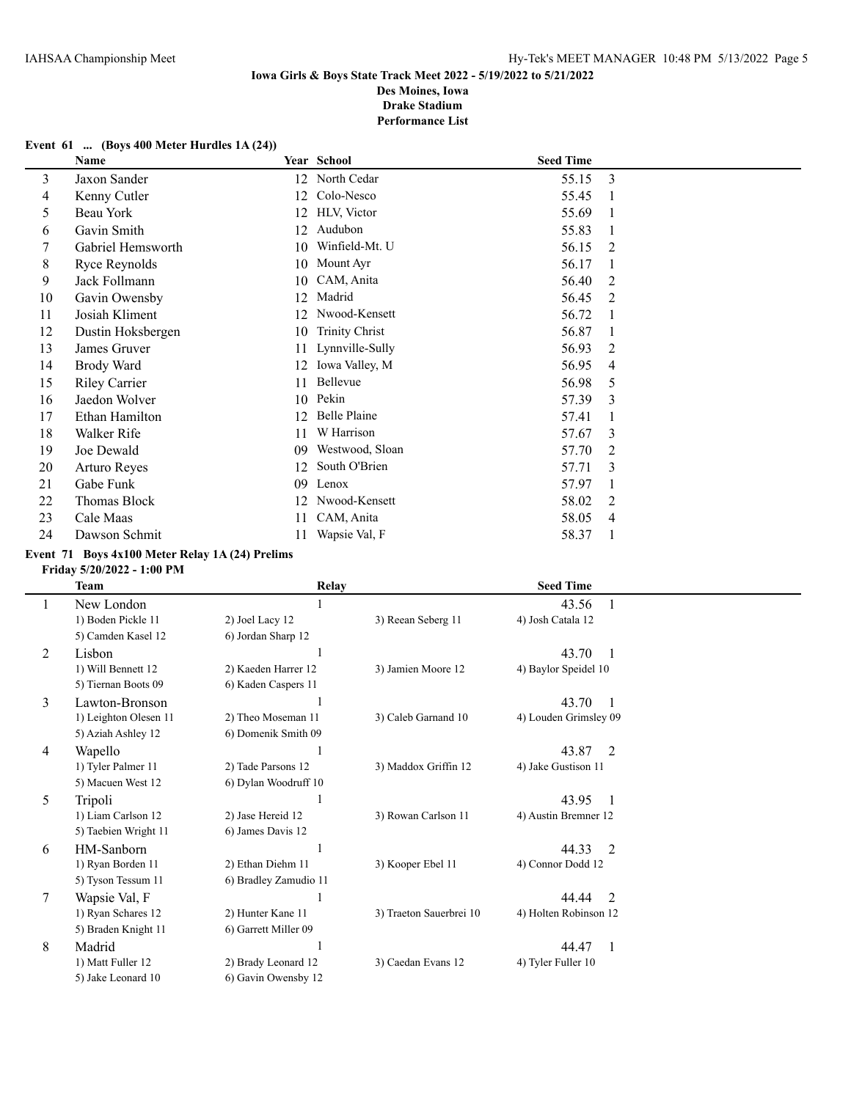#### **Event 61 ... (Boys 400 Meter Hurdles 1A (24))**

|    | Name                 |    | Year School           | <b>Seed Time</b> |   |
|----|----------------------|----|-----------------------|------------------|---|
| 3  | Jaxon Sander         | 12 | North Cedar           | 55.15            | 3 |
| 4  | Kenny Cutler         | 12 | Colo-Nesco            | 55.45            |   |
| 5  | Beau York            | 12 | HLV, Victor           | 55.69            |   |
| 6  | Gavin Smith          | 12 | Audubon               | 55.83            |   |
| 7  | Gabriel Hemsworth    | 10 | Winfield-Mt. U        | 56.15            | 2 |
| 8  | Ryce Reynolds        | 10 | Mount Ayr             | 56.17            |   |
| 9  | Jack Follmann        | 10 | CAM, Anita            | 56.40            | 2 |
| 10 | Gavin Owensby        | 12 | Madrid                | 56.45            | 2 |
| 11 | Josiah Kliment       | 12 | Nwood-Kensett         | 56.72            |   |
| 12 | Dustin Hoksbergen    | 10 | <b>Trinity Christ</b> | 56.87            |   |
| 13 | James Gruver         | 11 | Lynnville-Sully       | 56.93            | 2 |
| 14 | Brody Ward           | 12 | Iowa Valley, M        | 56.95            | 4 |
| 15 | <b>Riley Carrier</b> | 11 | Bellevue              | 56.98            | 5 |
| 16 | Jaedon Wolver        | 10 | Pekin                 | 57.39            | 3 |
| 17 | Ethan Hamilton       | 12 | <b>Belle Plaine</b>   | 57.41            |   |
| 18 | Walker Rife          | 11 | W Harrison            | 57.67            | 3 |
| 19 | Joe Dewald           | 09 | Westwood, Sloan       | 57.70            | 2 |
| 20 | Arturo Reyes         | 12 | South O'Brien         | 57.71            | 3 |
| 21 | Gabe Funk            | 09 | Lenox                 | 57.97            |   |
| 22 | Thomas Block         |    | Nwood-Kensett         | 58.02            | 2 |
| 23 | Cale Maas            | 11 | CAM, Anita            | 58.05            | 4 |
| 24 | Dawson Schmit        | 11 | Wapsie Val, F         | 58.37            |   |

#### **Event 71 Boys 4x100 Meter Relay 1A (24) Prelims**

#### **Friday 5/20/2022 - 1:00 PM**

|   | Team                  | Relay                 |                         | <b>Seed Time</b>                  |  |
|---|-----------------------|-----------------------|-------------------------|-----------------------------------|--|
|   | New London            |                       |                         | 43.56                             |  |
|   | 1) Boden Pickle 11    | 2) Joel Lacy 12       | 3) Reean Seberg 11      | 4) Josh Catala 12                 |  |
|   | 5) Camden Kasel 12    | 6) Jordan Sharp 12    |                         |                                   |  |
| 2 | Lisbon                |                       |                         | 43.70<br>-1                       |  |
|   | 1) Will Bennett 12    | 2) Kaeden Harrer 12   | 3) Jamien Moore 12      | 4) Baylor Speidel 10              |  |
|   | 5) Tiernan Boots 09   | 6) Kaden Caspers 11   |                         |                                   |  |
| 3 | Lawton-Bronson        |                       |                         | 43.70<br>-1                       |  |
|   | 1) Leighton Olesen 11 | 2) Theo Moseman 11    | 3) Caleb Garnand 10     | 4) Louden Grimsley 09             |  |
|   | 5) Aziah Ashley 12    | 6) Domenik Smith 09   |                         |                                   |  |
| 4 | Wapello               |                       |                         | 43.87 2                           |  |
|   | 1) Tyler Palmer 11    | 2) Tade Parsons 12    | 3) Maddox Griffin 12    | 4) Jake Gustison 11               |  |
|   | 5) Macuen West 12     | 6) Dylan Woodruff 10  |                         |                                   |  |
| 5 | Tripoli               |                       |                         | 43.95<br>$\overline{\phantom{0}}$ |  |
|   | 1) Liam Carlson 12    | 2) Jase Hereid 12     | 3) Rowan Carlson 11     | 4) Austin Bremner 12              |  |
|   | 5) Taebien Wright 11  | 6) James Davis 12     |                         |                                   |  |
| 6 | HM-Sanborn            |                       |                         | 44.33<br>2                        |  |
|   | 1) Ryan Borden 11     | 2) Ethan Diehm 11     | 3) Kooper Ebel 11       | 4) Connor Dodd 12                 |  |
|   | 5) Tyson Tessum 11    | 6) Bradley Zamudio 11 |                         |                                   |  |
| 7 | Wapsie Val, F         |                       |                         | 2<br>44.44                        |  |
|   | 1) Ryan Schares 12    | 2) Hunter Kane 11     | 3) Traeton Sauerbrei 10 | 4) Holten Robinson 12             |  |
|   | 5) Braden Knight 11   | 6) Garrett Miller 09  |                         |                                   |  |
| 8 | Madrid                |                       |                         | 44.47<br>1                        |  |
|   | 1) Matt Fuller 12     | 2) Brady Leonard 12   | 3) Caedan Evans 12      | 4) Tyler Fuller 10                |  |
|   | 5) Jake Leonard 10    | 6) Gavin Owensby 12   |                         |                                   |  |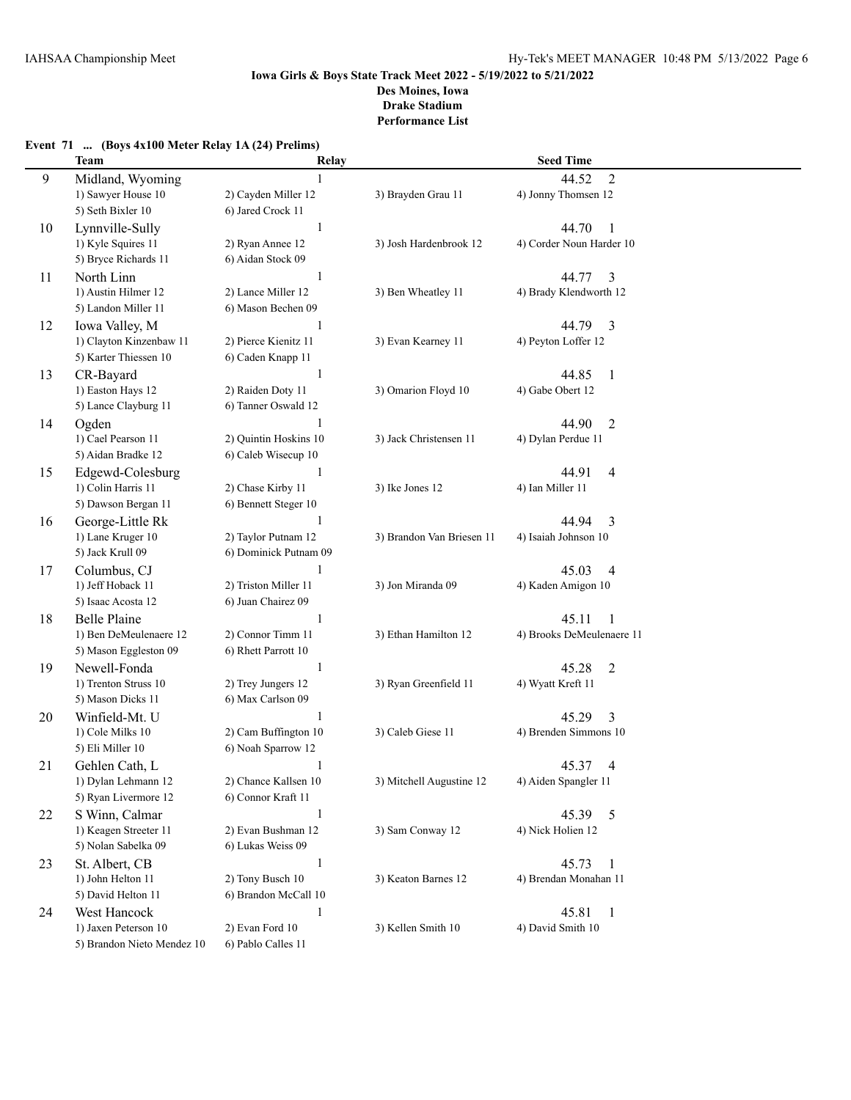## **Event 71 ... (Boys 4x100 Meter Relay 1A (24) Prelims)**

|    | <b>Team</b>                                   | Relay                                        |                           | <b>Seed Time</b>                             |
|----|-----------------------------------------------|----------------------------------------------|---------------------------|----------------------------------------------|
| 9  | Midland, Wyoming                              | $\mathbf{1}$                                 |                           | $\overline{2}$<br>44.52                      |
|    | 1) Sawyer House 10                            | 2) Cayden Miller 12                          | 3) Brayden Grau 11        | 4) Jonny Thomsen 12                          |
|    | 5) Seth Bixler 10                             | 6) Jared Crock 11                            |                           |                                              |
| 10 | Lynnville-Sully                               | $\mathbf{1}$                                 |                           | 44.70<br>1                                   |
|    | 1) Kyle Squires 11                            | 2) Ryan Annee 12                             | 3) Josh Hardenbrook 12    | 4) Corder Noun Harder 10                     |
|    | 5) Bryce Richards 11                          | 6) Aidan Stock 09                            |                           |                                              |
| 11 | North Linn                                    | $\mathbf{1}$                                 |                           | 44.77<br>3                                   |
|    | 1) Austin Hilmer 12                           | 2) Lance Miller 12                           | 3) Ben Wheatley 11        | 4) Brady Klendworth 12                       |
|    | 5) Landon Miller 11                           | 6) Mason Bechen 09                           |                           |                                              |
| 12 | Iowa Valley, M                                | 1                                            |                           | 44.79<br>3                                   |
|    | 1) Clayton Kinzenbaw 11                       | 2) Pierce Kienitz 11                         | 3) Evan Kearney 11        | 4) Peyton Loffer 12                          |
|    | 5) Karter Thiessen 10                         | 6) Caden Knapp 11                            |                           |                                              |
| 13 | CR-Bayard                                     | $\mathbf{1}$                                 |                           | 44.85<br>$\mathbf{1}$                        |
|    | 1) Easton Hays 12                             | 2) Raiden Doty 11                            | 3) Omarion Floyd 10       | 4) Gabe Obert 12                             |
|    | 5) Lance Clayburg 11                          | 6) Tanner Oswald 12                          |                           |                                              |
|    | Ogden                                         | 1                                            |                           | 44.90<br>2                                   |
| 14 | 1) Cael Pearson 11                            | 2) Quintin Hoskins 10                        | 3) Jack Christensen 11    | 4) Dylan Perdue 11                           |
|    | 5) Aidan Bradke 12                            | 6) Caleb Wisecup 10                          |                           |                                              |
|    |                                               | $\mathbf{1}$                                 |                           | 44.91                                        |
| 15 | Edgewd-Colesburg<br>1) Colin Harris 11        | 2) Chase Kirby 11                            | 3) Ike Jones 12           | 4<br>4) Ian Miller 11                        |
|    | 5) Dawson Bergan 11                           | 6) Bennett Steger 10                         |                           |                                              |
|    |                                               |                                              |                           |                                              |
| 16 | George-Little Rk                              | $\mathbf{1}$                                 | 3) Brandon Van Briesen 11 | 44.94<br>3<br>4) Isaiah Johnson 10           |
|    | 1) Lane Kruger 10<br>5) Jack Krull 09         | 2) Taylor Putnam 12<br>6) Dominick Putnam 09 |                           |                                              |
|    |                                               |                                              |                           |                                              |
| 17 | Columbus, CJ<br>1) Jeff Hoback 11             | $\mathbf{1}$                                 | 3) Jon Miranda 09         | 45.03<br>4<br>4) Kaden Amigon 10             |
|    | 5) Isaac Acosta 12                            | 2) Triston Miller 11<br>6) Juan Chairez 09   |                           |                                              |
|    |                                               | $\mathbf{1}$                                 |                           |                                              |
| 18 | <b>Belle Plaine</b><br>1) Ben DeMeulenaere 12 |                                              | 3) Ethan Hamilton 12      | 45.11<br>1<br>4) Brooks DeMeulenaere 11      |
|    | 5) Mason Eggleston 09                         | 2) Connor Timm 11<br>6) Rhett Parrott 10     |                           |                                              |
|    |                                               | $\mathbf{1}$                                 |                           |                                              |
| 19 | Newell-Fonda<br>1) Trenton Struss 10          | 2) Trey Jungers 12                           | 3) Ryan Greenfield 11     | 45.28<br>$\overline{2}$<br>4) Wyatt Kreft 11 |
|    | 5) Mason Dicks 11                             | 6) Max Carlson 09                            |                           |                                              |
|    |                                               | 1                                            |                           |                                              |
| 20 | Winfield-Mt. U<br>1) Cole Milks 10            | 2) Cam Buffington 10                         | 3) Caleb Giese 11         | 45.29<br>3<br>4) Brenden Simmons 10          |
|    | 5) Eli Miller 10                              | 6) Noah Sparrow 12                           |                           |                                              |
|    |                                               | 1                                            |                           |                                              |
| 21 | Gehlen Cath, L<br>1) Dylan Lehmann 12         | 2) Chance Kallsen 10                         | 3) Mitchell Augustine 12  | 45.37<br>4<br>4) Aiden Spangler 11           |
|    | 5) Ryan Livermore 12                          | 6) Connor Kraft 11                           |                           |                                              |
| 22 | S Winn, Calmar                                | $\mathbf{1}$                                 |                           | 45.39<br>5                                   |
|    | 1) Keagen Streeter 11                         | 2) Evan Bushman 12                           | 3) Sam Conway 12          | 4) Nick Holien 12                            |
|    | 5) Nolan Sabelka 09                           | 6) Lukas Weiss 09                            |                           |                                              |
|    | St. Albert, CB                                | $\mathbf 1$                                  |                           | 45.73                                        |
| 23 | 1) John Helton 11                             | 2) Tony Busch 10                             | 3) Keaton Barnes 12       | $\mathbf{1}$<br>4) Brendan Monahan 11        |
|    | 5) David Helton 11                            | 6) Brandon McCall 10                         |                           |                                              |
|    | West Hancock                                  |                                              |                           | 45.81                                        |
| 24 | 1) Jaxen Peterson 10                          | $\mathbf{1}$<br>2) Evan Ford 10              | 3) Kellen Smith 10        | $\mathbf{1}$<br>4) David Smith 10            |
|    | 5) Brandon Nieto Mendez 10                    | 6) Pablo Calles 11                           |                           |                                              |
|    |                                               |                                              |                           |                                              |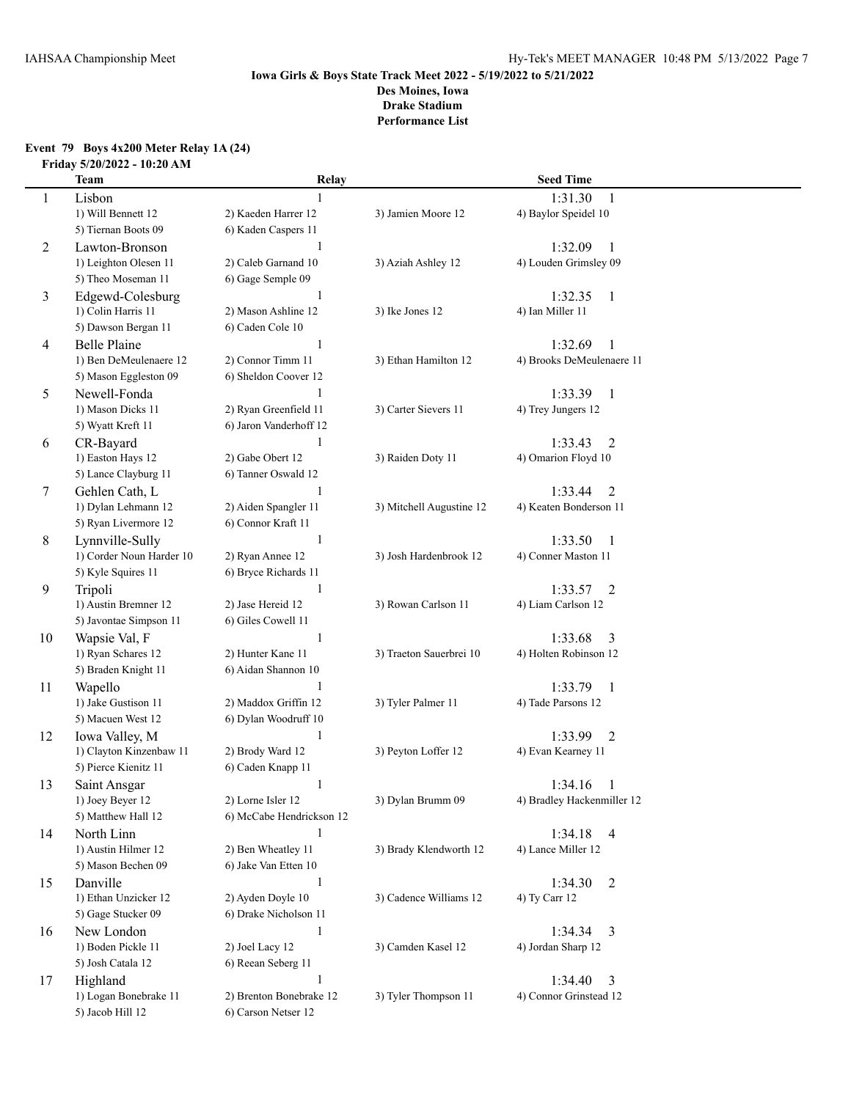#### **Event 79 Boys 4x200 Meter Relay 1A (24) Friday 5/20/2022 - 10:20 AM**

|    | <b>Team</b>              | Relay                    |                          | <b>Seed Time</b>           |  |
|----|--------------------------|--------------------------|--------------------------|----------------------------|--|
| 1  | Lisbon                   |                          |                          | 1:31.30<br>1               |  |
|    | 1) Will Bennett 12       | 2) Kaeden Harrer 12      | 3) Jamien Moore 12       | 4) Baylor Speidel 10       |  |
|    | 5) Tiernan Boots 09      | 6) Kaden Caspers 11      |                          |                            |  |
| 2  | Lawton-Bronson           |                          |                          | 1:32.09<br>1               |  |
|    | 1) Leighton Olesen 11    | 2) Caleb Garnand 10      | 3) Aziah Ashley 12       | 4) Louden Grimsley 09      |  |
|    | 5) Theo Moseman 11       | 6) Gage Semple 09        |                          |                            |  |
| 3  | Edgewd-Colesburg         | $\mathbf{1}$             |                          | 1:32.35<br>$\mathbf{1}$    |  |
|    | 1) Colin Harris 11       | 2) Mason Ashline 12      | 3) Ike Jones 12          | 4) Ian Miller 11           |  |
|    | 5) Dawson Bergan 11      | 6) Caden Cole 10         |                          |                            |  |
| 4  | <b>Belle Plaine</b>      | $\mathbf{1}$             |                          | 1:32.69<br>$\mathbf{1}$    |  |
|    | 1) Ben DeMeulenaere 12   | 2) Connor Timm 11        | 3) Ethan Hamilton 12     | 4) Brooks DeMeulenaere 11  |  |
|    | 5) Mason Eggleston 09    | 6) Sheldon Coover 12     |                          |                            |  |
| 5  | Newell-Fonda             | 1                        |                          | 1:33.39<br>$\overline{1}$  |  |
|    | 1) Mason Dicks 11        | 2) Ryan Greenfield 11    | 3) Carter Sievers 11     | 4) Trey Jungers 12         |  |
|    | 5) Wyatt Kreft 11        | 6) Jaron Vanderhoff 12   |                          |                            |  |
| 6  | CR-Bayard                | 1                        |                          | $\overline{2}$<br>1:33.43  |  |
|    | 1) Easton Hays 12        | 2) Gabe Obert 12         | 3) Raiden Doty 11        | 4) Omarion Floyd 10        |  |
|    | 5) Lance Clayburg 11     | 6) Tanner Oswald 12      |                          |                            |  |
| 7  | Gehlen Cath, L           | $\mathbf{1}$             |                          | 1:33.44<br>$\overline{2}$  |  |
|    | 1) Dylan Lehmann 12      | 2) Aiden Spangler 11     | 3) Mitchell Augustine 12 | 4) Keaten Bonderson 11     |  |
|    | 5) Ryan Livermore 12     | 6) Connor Kraft 11       |                          |                            |  |
| 8  | Lynnville-Sully          | $\mathbf{1}$             |                          | 1:33.50<br>-1              |  |
|    | 1) Corder Noun Harder 10 | 2) Ryan Annee 12         | 3) Josh Hardenbrook 12   | 4) Conner Maston 11        |  |
|    | 5) Kyle Squires 11       | 6) Bryce Richards 11     |                          |                            |  |
| 9  | Tripoli                  | 1                        |                          | 1:33.57<br>$\overline{2}$  |  |
|    | 1) Austin Bremner 12     | 2) Jase Hereid 12        | 3) Rowan Carlson 11      | 4) Liam Carlson 12         |  |
|    | 5) Javontae Simpson 11   | 6) Giles Cowell 11       |                          |                            |  |
| 10 | Wapsie Val, F            | 1                        |                          | 1:33.68<br>3               |  |
|    | 1) Ryan Schares 12       | 2) Hunter Kane 11        | 3) Traeton Sauerbrei 10  | 4) Holten Robinson 12      |  |
|    | 5) Braden Knight 11      | 6) Aidan Shannon 10      |                          |                            |  |
| 11 | Wapello                  | $\mathbf{1}$             |                          | 1:33.79<br>$\mathbf{1}$    |  |
|    | 1) Jake Gustison 11      | 2) Maddox Griffin 12     | 3) Tyler Palmer 11       | 4) Tade Parsons 12         |  |
|    | 5) Macuen West 12        | 6) Dylan Woodruff 10     |                          |                            |  |
| 12 | Iowa Valley, M           | $\mathbf{1}$             |                          | 1:33.99<br>$\overline{2}$  |  |
|    | 1) Clayton Kinzenbaw 11  | 2) Brody Ward 12         | 3) Peyton Loffer 12      | 4) Evan Kearney 11         |  |
|    | 5) Pierce Kienitz 11     | 6) Caden Knapp 11        |                          |                            |  |
| 13 | Saint Ansgar             | $\mathbf{1}$             |                          | 1:34.16<br>-1              |  |
|    | 1) Joey Beyer 12         | 2) Lorne Isler 12        | 3) Dylan Brumm 09        | 4) Bradley Hackenmiller 12 |  |
|    | 5) Matthew Hall 12       | 6) McCabe Hendrickson 12 |                          |                            |  |
| 14 | North Linn               | $\mathbf{1}$             |                          | 1:34.18<br>$\overline{4}$  |  |
|    | 1) Austin Hilmer 12      | 2) Ben Wheatley 11       | 3) Brady Klendworth 12   | 4) Lance Miller 12         |  |
|    | 5) Mason Bechen 09       | 6) Jake Van Etten 10     |                          |                            |  |
| 15 | Danville                 | $\mathbf{1}$             |                          | 1:34.30<br>2               |  |
|    | 1) Ethan Unzicker 12     | 2) Ayden Doyle 10        | 3) Cadence Williams 12   | 4) Ty Carr 12              |  |
|    | 5) Gage Stucker 09       | 6) Drake Nicholson 11    |                          |                            |  |
| 16 | New London               | $\mathbf{1}$             |                          | 1:34.34<br>$\overline{3}$  |  |
|    | 1) Boden Pickle 11       | 2) Joel Lacy 12          | 3) Camden Kasel 12       | 4) Jordan Sharp 12         |  |
|    | 5) Josh Catala 12        | 6) Reean Seberg 11       |                          |                            |  |
| 17 | Highland                 | $\mathbf{1}$             |                          | 1:34.40<br>3               |  |
|    | 1) Logan Bonebrake 11    | 2) Brenton Bonebrake 12  | 3) Tyler Thompson 11     | 4) Connor Grinstead 12     |  |
|    | 5) Jacob Hill 12         | 6) Carson Netser 12      |                          |                            |  |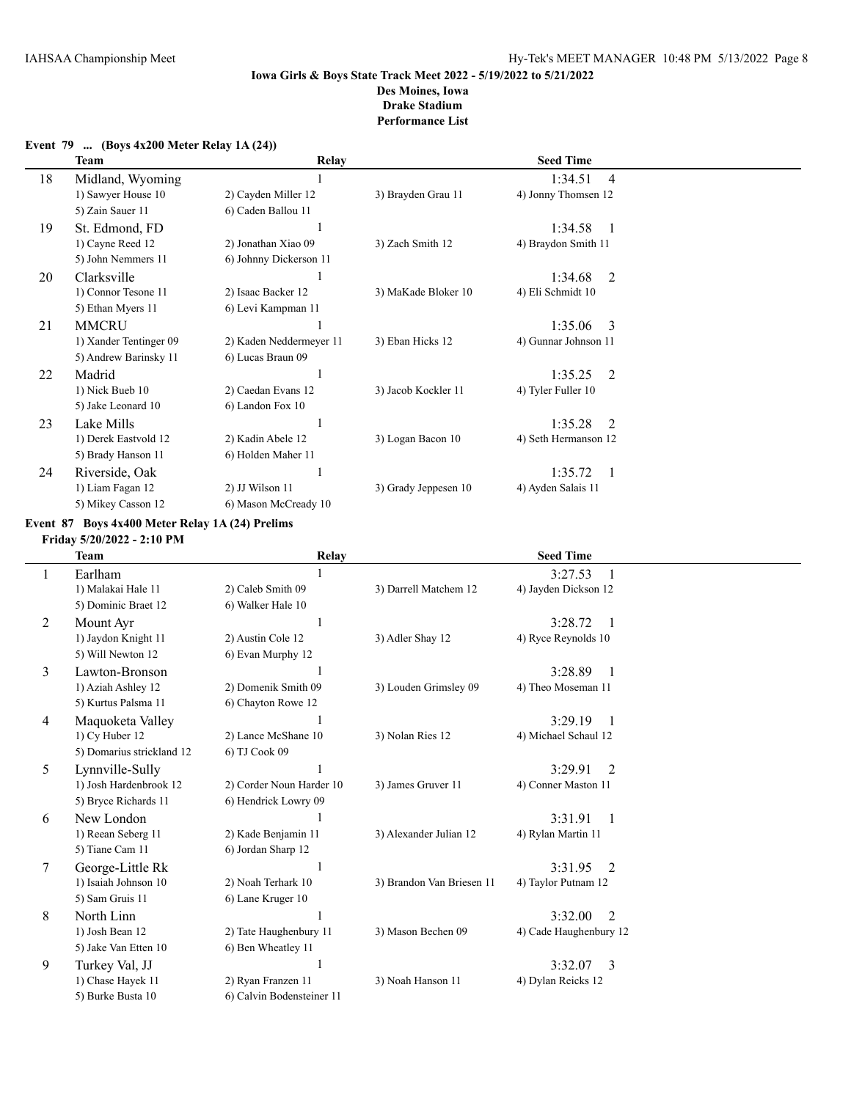|    | <b>Team</b>            | Relay                   |                      | <b>Seed Time</b>          |
|----|------------------------|-------------------------|----------------------|---------------------------|
| 18 | Midland, Wyoming       |                         |                      | 1:34.51<br>$\overline{4}$ |
|    | 1) Sawyer House 10     | 2) Cayden Miller 12     | 3) Brayden Grau 11   | 4) Jonny Thomsen 12       |
|    | 5) Zain Sauer 11       | 6) Caden Ballou 11      |                      |                           |
| 19 | St. Edmond, FD         |                         |                      | 1:34.58<br>$\blacksquare$ |
|    | 1) Cayne Reed 12       | 2) Jonathan Xiao 09     | 3) Zach Smith 12     | 4) Braydon Smith 11       |
|    | 5) John Nemmers 11     | 6) Johnny Dickerson 11  |                      |                           |
| 20 | Clarksville            |                         |                      | 1:34.68<br>2              |
|    | 1) Connor Tesone 11    | 2) Isaac Backer 12      | 3) MaKade Bloker 10  | 4) Eli Schmidt 10         |
|    | 5) Ethan Myers 11      | 6) Levi Kampman 11      |                      |                           |
| 21 | <b>MMCRU</b>           |                         |                      | 1:35.06<br>-3             |
|    | 1) Xander Tentinger 09 | 2) Kaden Neddermeyer 11 | 3) Eban Hicks 12     | 4) Gunnar Johnson 11      |
|    | 5) Andrew Barinsky 11  | 6) Lucas Braun 09       |                      |                           |
| 22 | Madrid                 |                         |                      | 1:35.25<br>$\mathcal{L}$  |
|    | 1) Nick Bueb 10        | 2) Caedan Evans 12      | 3) Jacob Kockler 11  | 4) Tyler Fuller 10        |
|    | 5) Jake Leonard 10     | 6) Landon Fox 10        |                      |                           |
| 23 | Lake Mills             |                         |                      | 1:35.28<br>$\overline{2}$ |
|    | 1) Derek Eastvold 12   | 2) Kadin Abele 12       | 3) Logan Bacon 10    | 4) Seth Hermanson 12      |
|    | 5) Brady Hanson 11     | 6) Holden Maher 11      |                      |                           |
| 24 | Riverside, Oak         |                         |                      | 1:35.72<br>$\blacksquare$ |
|    | 1) Liam Fagan 12       | 2) JJ Wilson 11         | 3) Grady Jeppesen 10 | 4) Ayden Salais 11        |
|    | 5) Mikey Casson 12     | 6) Mason McCready 10    |                      |                           |

#### **Event 79 ... (Boys 4x200 Meter Relay 1A (24))**

### **Event 87 Boys 4x400 Meter Relay 1A (24) Prelims**

**Friday 5/20/2022 - 2:10 PM**

|                | <b>Team</b>               | Relay                     |                           | <b>Seed Time</b>          |  |
|----------------|---------------------------|---------------------------|---------------------------|---------------------------|--|
|                | Earlham                   |                           |                           | 3:27.53                   |  |
|                | 1) Malakai Hale 11        | 2) Caleb Smith 09         | 3) Darrell Matchem 12     | 4) Jayden Dickson 12      |  |
|                | 5) Dominic Braet 12       | 6) Walker Hale 10         |                           |                           |  |
| $\overline{2}$ | Mount Ayr                 |                           |                           | 3:28.72<br>$\overline{1}$ |  |
|                | 1) Jaydon Knight 11       | 2) Austin Cole 12         | 3) Adler Shay 12          | 4) Ryce Reynolds 10       |  |
|                | 5) Will Newton 12         | 6) Evan Murphy 12         |                           |                           |  |
| 3              | Lawton-Bronson            |                           |                           | 3:28.89<br>$\overline{1}$ |  |
|                | 1) Aziah Ashley 12        | 2) Domenik Smith 09       | 3) Louden Grimsley 09     | 4) Theo Moseman 11        |  |
|                | 5) Kurtus Palsma 11       | 6) Chayton Rowe 12        |                           |                           |  |
| 4              | Maquoketa Valley          |                           |                           | 3:29.19                   |  |
|                | 1) Cy Huber 12            | 2) Lance McShane 10       | 3) Nolan Ries 12          | 4) Michael Schaul 12      |  |
|                | 5) Domarius strickland 12 | 6) TJ Cook 09             |                           |                           |  |
| 5              | Lynnville-Sully           |                           |                           | 3:29.91<br>2              |  |
|                | 1) Josh Hardenbrook 12    | 2) Corder Noun Harder 10  | 3) James Gruver 11        | 4) Conner Maston 11       |  |
|                | 5) Bryce Richards 11      | 6) Hendrick Lowry 09      |                           |                           |  |
| 6              | New London                |                           |                           | 3:31.91<br>$\mathbf{1}$   |  |
|                | 1) Reean Seberg 11        | 2) Kade Benjamin 11       | 3) Alexander Julian 12    | 4) Rylan Martin 11        |  |
|                | 5) Tiane Cam 11           | 6) Jordan Sharp 12        |                           |                           |  |
| 7              | George-Little Rk          |                           |                           | 3:31.95<br>2              |  |
|                | 1) Isaiah Johnson 10      | 2) Noah Terhark 10        | 3) Brandon Van Briesen 11 | 4) Taylor Putnam 12       |  |
|                | 5) Sam Gruis 11           | 6) Lane Kruger 10         |                           |                           |  |
| 8              | North Linn                |                           |                           | $\mathcal{L}$<br>3:32.00  |  |
|                | 1) Josh Bean 12           | 2) Tate Haughenbury 11    | 3) Mason Bechen 09        | 4) Cade Haughenbury 12    |  |
|                | 5) Jake Van Etten 10      | 6) Ben Wheatley 11        |                           |                           |  |
| 9              | Turkey Val, JJ            |                           |                           | 3<br>3:32.07              |  |
|                | 1) Chase Hayek 11         | 2) Ryan Franzen 11        | 3) Noah Hanson 11         | 4) Dylan Reicks 12        |  |
|                | 5) Burke Busta 10         | 6) Calvin Bodensteiner 11 |                           |                           |  |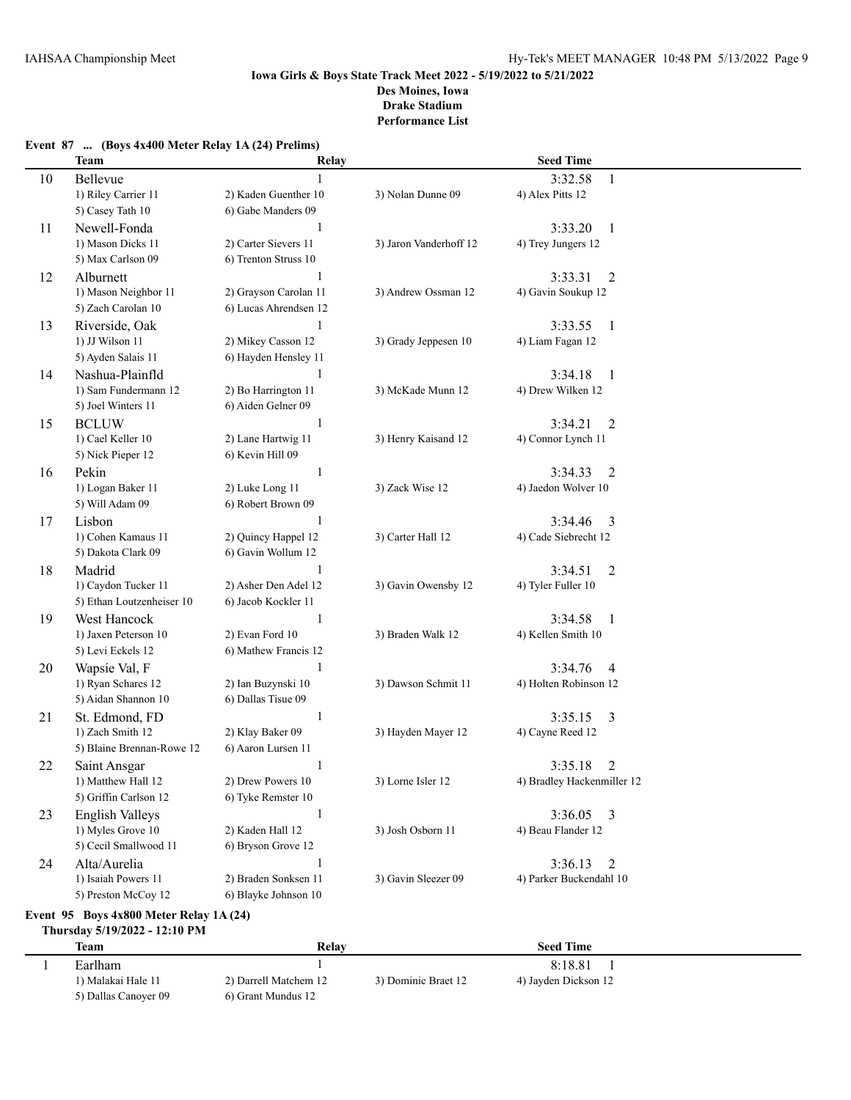## **Event 87 ... (Boys 4x400 Meter Relay 1A (24) Prelims)**

|    | <b>Team</b>                                 | Relay                                    |                        | <b>Seed Time</b>                 |  |
|----|---------------------------------------------|------------------------------------------|------------------------|----------------------------------|--|
| 10 | Bellevue                                    |                                          |                        | 3:32.58<br>1                     |  |
|    | 1) Riley Carrier 11                         | 2) Kaden Guenther 10                     | 3) Nolan Dunne 09      | 4) Alex Pitts 12                 |  |
|    | 5) Casey Tath 10                            | 6) Gabe Manders 09                       |                        |                                  |  |
| 11 | Newell-Fonda                                | $\mathbf{1}$                             |                        | 3:33.20<br>-1                    |  |
|    | 1) Mason Dicks 11                           | 2) Carter Sievers 11                     | 3) Jaron Vanderhoff 12 | 4) Trey Jungers 12               |  |
|    | 5) Max Carlson 09                           | 6) Trenton Struss 10                     |                        |                                  |  |
| 12 | Alburnett                                   | 1                                        |                        | 3:33.31<br>2                     |  |
|    | 1) Mason Neighbor 11                        | 2) Grayson Carolan 11                    | 3) Andrew Ossman 12    | 4) Gavin Soukup 12               |  |
|    | 5) Zach Carolan 10                          | 6) Lucas Ahrendsen 12                    |                        |                                  |  |
| 13 | Riverside, Oak                              | 1                                        |                        | 3:33.55<br>$\mathbf{1}$          |  |
|    | 1) JJ Wilson 11                             | 2) Mikey Casson 12                       | 3) Grady Jeppesen 10   | 4) Liam Fagan 12                 |  |
|    | 5) Ayden Salais 11                          | 6) Hayden Hensley 11                     |                        |                                  |  |
| 14 | Nashua-Plainfld                             |                                          |                        | 3:34.18<br>1                     |  |
|    | 1) Sam Fundermann 12                        | 2) Bo Harrington 11                      | 3) McKade Munn 12      | 4) Drew Wilken 12                |  |
|    | 5) Joel Winters 11                          | 6) Aiden Gelner 09                       |                        |                                  |  |
| 15 | <b>BCLUW</b>                                | 1                                        |                        | 3:34.21<br>2                     |  |
|    | 1) Cael Keller 10                           | 2) Lane Hartwig 11                       | 3) Henry Kaisand 12    | 4) Connor Lynch 11               |  |
|    | 5) Nick Pieper 12                           | 6) Kevin Hill 09                         |                        |                                  |  |
| 16 | Pekin                                       | $\mathbf{1}$                             |                        | 3:34.33<br>2                     |  |
|    | 1) Logan Baker 11                           | 2) Luke Long 11                          | 3) Zack Wise 12        | 4) Jaedon Wolver 10              |  |
|    | 5) Will Adam 09                             | 6) Robert Brown 09                       |                        |                                  |  |
| 17 | Lisbon                                      | 1                                        |                        | 3:34.46<br>3                     |  |
|    | 1) Cohen Kamaus 11                          | 2) Quincy Happel 12                      | 3) Carter Hall 12      | 4) Cade Siebrecht 12             |  |
|    | 5) Dakota Clark 09                          | 6) Gavin Wollum 12                       |                        |                                  |  |
| 18 | Madrid                                      | 1                                        |                        | 3:34.51<br>$\overline{2}$        |  |
|    | 1) Caydon Tucker 11                         | 2) Asher Den Adel 12                     | 3) Gavin Owensby 12    | 4) Tyler Fuller 10               |  |
|    | 5) Ethan Loutzenheiser 10                   | 6) Jacob Kockler 11                      |                        |                                  |  |
| 19 | West Hancock                                | $\mathbf{1}$                             |                        | 3:34.58<br>$\mathbf{1}$          |  |
|    | 1) Jaxen Peterson 10                        | 2) Evan Ford 10                          | 3) Braden Walk 12      | 4) Kellen Smith 10               |  |
|    | 5) Levi Eckels 12                           | 6) Mathew Francis 12                     |                        |                                  |  |
| 20 | Wapsie Val, F                               | $\mathbf{1}$                             |                        | 3:34.76<br>$\overline{4}$        |  |
|    | 1) Ryan Schares 12<br>5) Aidan Shannon 10   | 2) Ian Buzynski 10<br>6) Dallas Tisue 09 | 3) Dawson Schmit 11    | 4) Holten Robinson 12            |  |
|    |                                             | 1                                        |                        |                                  |  |
| 21 | St. Edmond, FD<br>1) Zach Smith 12          | 2) Klay Baker 09                         | 3) Hayden Mayer 12     | 3:35.15<br>3<br>4) Cayne Reed 12 |  |
|    | 5) Blaine Brennan-Rowe 12                   | 6) Aaron Lursen 11                       |                        |                                  |  |
| 22 | Saint Ansgar                                | 1                                        |                        | 3:35.18<br>2                     |  |
|    | 1) Matthew Hall 12                          | 2) Drew Powers 10                        | 3) Lorne Isler 12      | 4) Bradley Hackenmiller 12       |  |
|    | 5) Griffin Carlson 12                       | 6) Tyke Remster 10                       |                        |                                  |  |
| 23 | <b>English Valleys</b>                      | 1                                        |                        | 3:36.05<br>3                     |  |
|    | 1) Myles Grove 10                           | 2) Kaden Hall 12                         | 3) Josh Osborn 11      | 4) Beau Flander 12               |  |
|    | 5) Cecil Smallwood 11                       | 6) Bryson Grove 12                       |                        |                                  |  |
| 24 | Alta/Aurelia                                | 1                                        |                        | 3:36.13<br>2                     |  |
|    | 1) Isaiah Powers 11                         | 2) Braden Sonksen 11                     | 3) Gavin Sleezer 09    | 4) Parker Buckendahl 10          |  |
|    | 5) Preston McCoy 12                         | 6) Blayke Johnson 10                     |                        |                                  |  |
|    | Event 95 Boys $4x800$ Meter Relay 1A $(24)$ |                                          |                        |                                  |  |

## **Thursday 5/19/2022 - 12:10 PM**

| <b>Team</b>          | Relay                 |                     | <b>Seed Time</b>     |  |
|----------------------|-----------------------|---------------------|----------------------|--|
| Earlham              |                       |                     | 8:18.81              |  |
| l) Malakai Hale 11   | 2) Darrell Matchem 12 | 3) Dominic Braet 12 | 4) Jayden Dickson 12 |  |
| 5) Dallas Canover 09 | 6) Grant Mundus 12    |                     |                      |  |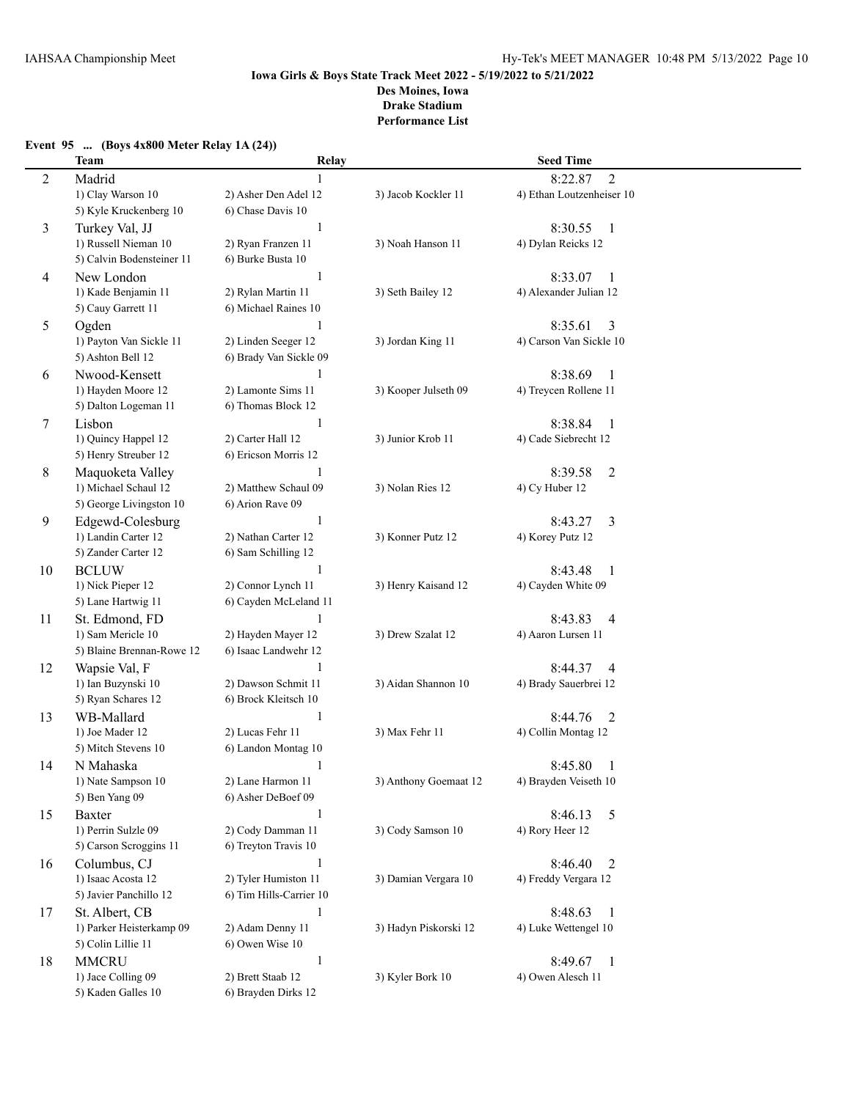**Event 95 ... (Boys 4x800 Meter Relay 1A (24))**

#### **Iowa Girls & Boys State Track Meet 2022 - 5/19/2022 to 5/21/2022 Des Moines, Iowa Drake Stadium Performance List**

## **Team Relay Seed Time** 2 Madrid 1 8:22.87 2 1) Clay Warson 10 2) Asher Den Adel 12 3) Jacob Kockler 11 4) Ethan Loutzenheiser 10 5) Kyle Kruckenberg 10 6) Chase Davis 10 3 Turkey Val, JJ 1 8:30.55 1<br>1) Russell Nieman 10 2) Rvan Franzen 11 3) Noah Hanson 11 4) Dylan Reicks 12 1) Russell Nieman 10 5) Calvin Bodensteiner 11 6) Burke Busta 10 4 New London 1 8:33.07 1 1) Kade Benjamin 11 2) Rylan Martin 11 3) Seth Bailey 12 4) Alexander Julian 12 5) Cauy Garrett 11 6) Michael Raines 10 5 Ogden 1 8:35.61 3 1) Payton Van Sickle 11 2) Linden Seeger 12 3) Jordan King 11 4) Carson Van Sickle 10 5) Ashton Bell 12 6) Brady Van Sickle 09 6 Nwood-Kensett 1 8:38.69 1 1) Hayden Moore 12 2) Lamonte Sims 11 3) Kooper Julseth 09 4) Treycen Rollene 11 5) Dalton Logeman 11 6) Thomas Block 12 7 Lisbon 1 8:38.84 1 1) Quincy Happel 12 2) Carter Hall 12 3) Junior Krob 11 4) Cade Siebrecht 12 5) Henry Streuber 12 6) Ericson Morris 12 8 Maquoketa Valley 1 8:39.58 2 1) Michael Schaul 12 2) Matthew Schaul 09 3) Nolan Ries 12 4) Cy Huber 12 5) George Livingston 10 6) Arion Rave 09 9 Edgewd-Colesburg 1 8:43.27 3 1) Landin Carter 12 2) Nathan Carter 12 3) Konner Putz 12 4) Korey Putz 12 5) Zander Carter 12 6) Sam Schilling 12 10 BCLUW 1 8:43.48 1 1) Nick Pieper 12 2) Connor Lynch 11 3) Henry Kaisand 12 4) Cayden White 09 5) Lane Hartwig 11 6) Cayden McLeland 11 11 St. Edmond, FD 1 8:43.83 4 1) Sam Mericle 10 2) Hayden Mayer 12 3) Drew Szalat 12 4) Aaron Lursen 11 5) Blaine Brennan-Rowe 12 6) Isaac Landwehr 12 12 Wapsie Val, F  $1 \t3.44.37 \t4$ 1) Ian Buzynski 10 2) Dawson Schmit 11 3) Aidan Shannon 10 4) Brady Sauerbrei 12 5) Ryan Schares 12 6) Brock Kleitsch 10 13 WB-Mallard 1 8:44.76 2 1) Joe Mader 12 2) Lucas Fehr 11 3) Max Fehr 11 4) Collin Montag 12 5) Mitch Stevens 10 6) Landon Montag 10 14 N Mahaska 1 8:45.80 1 1) Nate Sampson 10 2) Lane Harmon 11 3) Anthony Goemaat 12 4) Brayden Veiseth 10 5) Ben Yang 09 6) Asher DeBoef 09 15 Baxter 1 8:46.13 5 1) Perrin Sulzle 09 2) Cody Damman 11 3) Cody Samson 10 4) Rory Heer 12 5) Carson Scroggins 11 6) Treyton Travis 10 16 Columbus, CJ 1 8:46.40 2 1) Isaac Acosta 12 2) Tyler Humiston 11 3) Damian Vergara 10 4) Freddy Vergara 12 5) Javier Panchillo 12 6) Tim Hills-Carrier 10 17 St. Albert, CB 1 8:48.63 1 1) Parker Heisterkamp 09 2) Adam Denny 11 3) Hadyn Piskorski 12 4) Luke Wettengel 10 5) Colin Lillie 11 6) Owen Wise 10 18 MMCRU 1 8:49.67 1 1) Jace Colling 09 2) Brett Staab 12 3) Kyler Bork 10 4) Owen Alesch 11 5) Kaden Galles 10 6) Brayden Dirks 12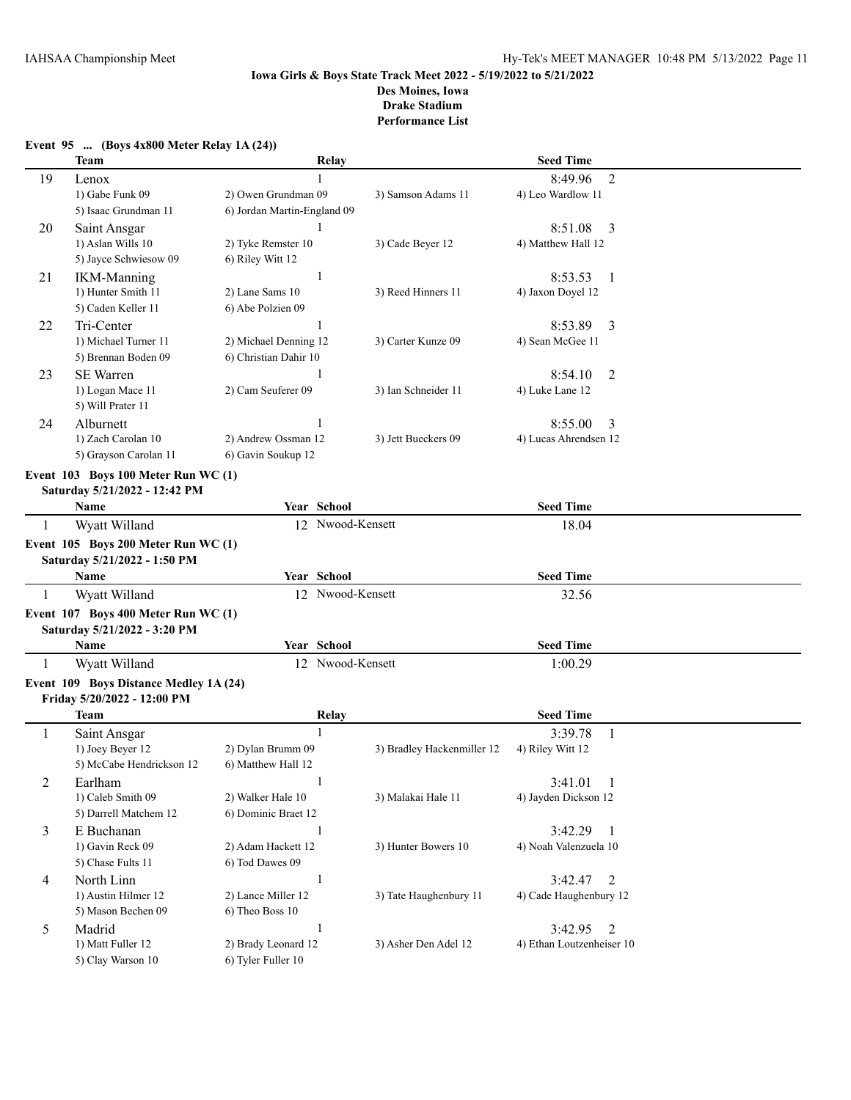|              | Team                                                                | Relay                       |                            | <b>Seed Time</b>          |  |
|--------------|---------------------------------------------------------------------|-----------------------------|----------------------------|---------------------------|--|
| 19           | Lenox                                                               |                             |                            | 8:49.96<br>$\overline{2}$ |  |
|              | 1) Gabe Funk 09                                                     | 2) Owen Grundman 09         | 3) Samson Adams 11         | 4) Leo Wardlow 11         |  |
|              | 5) Isaac Grundman 11                                                | 6) Jordan Martin-England 09 |                            |                           |  |
| 20           | Saint Ansgar                                                        |                             |                            | 8:51.08<br>3              |  |
|              | 1) Aslan Wills 10                                                   | 2) Tyke Remster 10          | 3) Cade Beyer 12           | 4) Matthew Hall 12        |  |
|              | 5) Jayce Schwiesow 09                                               | 6) Riley Witt 12            |                            |                           |  |
| 21           | <b>IKM-Manning</b>                                                  | 1                           |                            | 8:53.53<br>-1             |  |
|              | 1) Hunter Smith 11                                                  | 2) Lane Sams 10             | 3) Reed Hinners 11         | 4) Jaxon Doyel 12         |  |
|              | 5) Caden Keller 11                                                  | 6) Abe Polzien 09           |                            |                           |  |
| 22           | Tri-Center                                                          | 1                           |                            | 8:53.89<br>3              |  |
|              | 1) Michael Turner 11                                                | 2) Michael Denning 12       | 3) Carter Kunze 09         | 4) Sean McGee 11          |  |
|              | 5) Brennan Boden 09                                                 | 6) Christian Dahir 10       |                            |                           |  |
| 23           | <b>SE Warren</b>                                                    | 1                           |                            | 8:54.10<br>2              |  |
|              | 1) Logan Mace 11                                                    | 2) Cam Seuferer 09          | 3) Ian Schneider 11        | 4) Luke Lane 12           |  |
|              | 5) Will Prater 11                                                   |                             |                            |                           |  |
| 24           | Alburnett                                                           |                             |                            | 8:55.00<br>3              |  |
|              | 1) Zach Carolan 10                                                  | 2) Andrew Ossman 12         | 3) Jett Bueckers 09        | 4) Lucas Ahrendsen 12     |  |
|              | 5) Grayson Carolan 11                                               | 6) Gavin Soukup 12          |                            |                           |  |
|              | Event 103 Boys 100 Meter Run WC (1)                                 |                             |                            |                           |  |
|              | Saturday 5/21/2022 - 12:42 PM                                       |                             |                            |                           |  |
|              | Name                                                                | Year School                 |                            | <b>Seed Time</b>          |  |
| $\mathbf{1}$ | Wyatt Willand                                                       | 12 Nwood-Kensett            |                            | 18.04                     |  |
|              |                                                                     |                             |                            |                           |  |
|              | Event 105 Boys 200 Meter Run WC (1)<br>Saturday 5/21/2022 - 1:50 PM |                             |                            |                           |  |
|              | Name                                                                | Year School                 |                            | <b>Seed Time</b>          |  |
| 1            | Wyatt Willand                                                       | 12 Nwood-Kensett            |                            | 32.56                     |  |
|              |                                                                     |                             |                            |                           |  |
|              | Event 107 Boys 400 Meter Run WC (1)                                 |                             |                            |                           |  |
|              | Saturday 5/21/2022 - 3:20 PM                                        | Year School                 |                            | <b>Seed Time</b>          |  |
|              | Name                                                                |                             |                            |                           |  |
| 1            | Wyatt Willand                                                       | 12 Nwood-Kensett            |                            | 1:00.29                   |  |
|              | Event 109 Boys Distance Medley 1A (24)                              |                             |                            |                           |  |
|              | Friday 5/20/2022 - 12:00 PM                                         |                             |                            |                           |  |
|              | Team                                                                | Relay                       |                            | <b>Seed Time</b>          |  |
| $\mathbf{1}$ | Saint Ansgar                                                        | $\mathbf{1}$                |                            | 3:39.78<br>$\mathbf{1}$   |  |
|              | 1) Joey Beyer 12                                                    | 2) Dylan Brumm 09           | 3) Bradley Hackenmiller 12 | 4) Riley Witt 12          |  |
|              | 5) McCabe Hendrickson 12                                            | 6) Matthew Hall 12          |                            |                           |  |
| $\sqrt{2}$   | Earlham                                                             | $\mathbf{1}$                |                            | 3:41.01<br>$\overline{1}$ |  |
|              | 1) Caleb Smith 09                                                   | 2) Walker Hale 10           | 3) Malakai Hale 11         | 4) Jayden Dickson 12      |  |
|              |                                                                     |                             |                            |                           |  |
| 3            | 5) Darrell Matchem 12                                               | 6) Dominic Braet 12         |                            |                           |  |
|              | E Buchanan                                                          | 1                           |                            | 3:42.29<br>$\overline{1}$ |  |
|              | 1) Gavin Reck 09                                                    | 2) Adam Hackett 12          | 3) Hunter Bowers 10        | 4) Noah Valenzuela 10     |  |
|              | 5) Chase Fults 11                                                   | 6) Tod Dawes 09             |                            |                           |  |
| 4            | North Linn                                                          | $\mathbf{1}$                |                            | 3:42.47<br>2              |  |
|              | 1) Austin Hilmer 12                                                 | 2) Lance Miller 12          | 3) Tate Haughenbury 11     | 4) Cade Haughenbury 12    |  |
|              | 5) Mason Bechen 09                                                  | 6) Theo Boss 10             |                            |                           |  |
| 5            | Madrid                                                              | $\mathbf{1}$                |                            | 3:42.95<br>2              |  |
|              | 1) Matt Fuller 12                                                   | 2) Brady Leonard 12         | 3) Asher Den Adel 12       | 4) Ethan Loutzenheiser 10 |  |

#### **Event 95 ... (Boys 4x800 Meter Relay 1A (24))**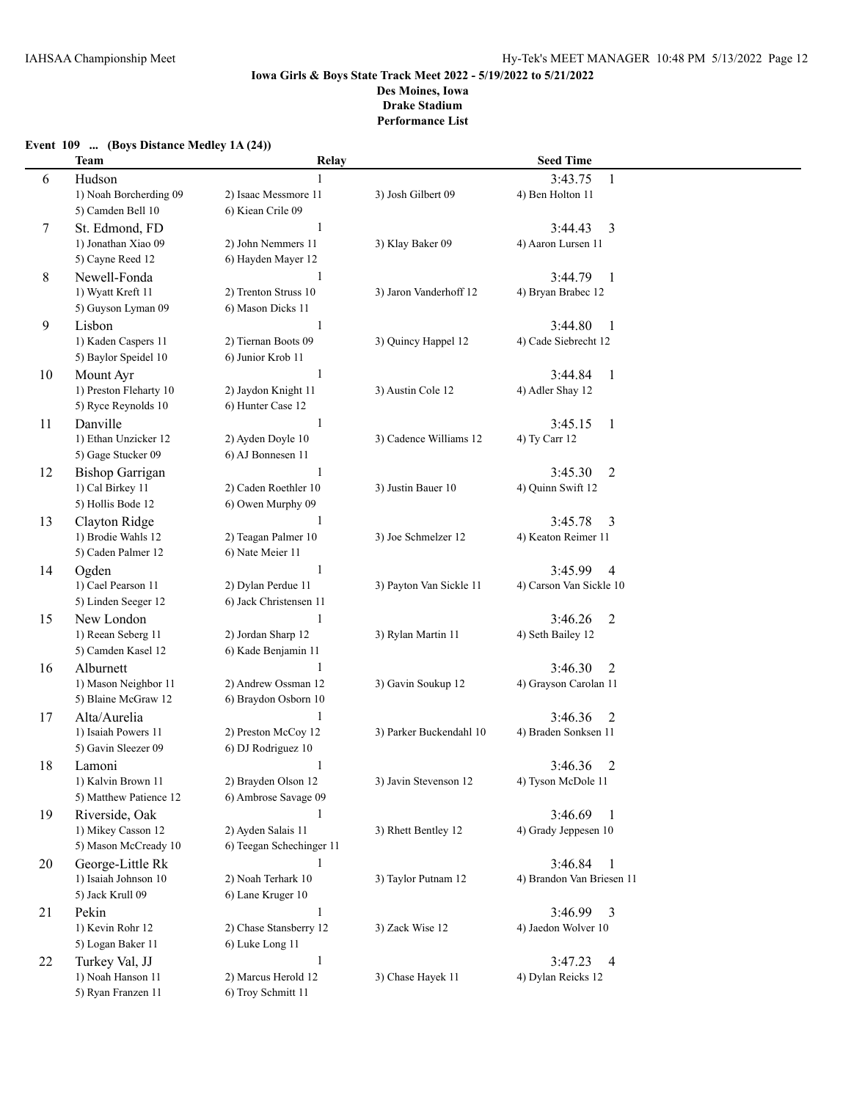## **Event 109 ... (Boys Distance Medley 1A (24))**

|    | <b>Team</b>            | Relay                    |                         | <b>Seed Time</b>          |  |
|----|------------------------|--------------------------|-------------------------|---------------------------|--|
| 6  | Hudson                 |                          |                         | 3:43.75<br>1              |  |
|    | 1) Noah Borcherding 09 | 2) Isaac Messmore 11     | 3) Josh Gilbert 09      | 4) Ben Holton 11          |  |
|    | 5) Camden Bell 10      | 6) Kiean Crile 09        |                         |                           |  |
| 7  | St. Edmond, FD         | $\mathbf{1}$             |                         | 3:44.43<br>3              |  |
|    | 1) Jonathan Xiao 09    | 2) John Nemmers 11       | 3) Klay Baker 09        | 4) Aaron Lursen 11        |  |
|    | 5) Cayne Reed 12       | 6) Hayden Mayer 12       |                         |                           |  |
| 8  | Newell-Fonda           | $\mathbf{1}$             |                         | 3:44.79<br>$\mathbf{1}$   |  |
|    | 1) Wyatt Kreft 11      | 2) Trenton Struss 10     | 3) Jaron Vanderhoff 12  | 4) Bryan Brabec 12        |  |
|    | 5) Guyson Lyman 09     | 6) Mason Dicks 11        |                         |                           |  |
| 9  | Lisbon                 | 1                        |                         | 3:44.80<br>-1             |  |
|    | 1) Kaden Caspers 11    | 2) Tiernan Boots 09      | 3) Quincy Happel 12     | 4) Cade Siebrecht 12      |  |
|    | 5) Baylor Speidel 10   | 6) Junior Krob 11        |                         |                           |  |
| 10 | Mount Ayr              | 1                        |                         | 3:44.84<br>$\mathbf{1}$   |  |
|    | 1) Preston Fleharty 10 | 2) Jaydon Knight 11      | 3) Austin Cole 12       | 4) Adler Shay 12          |  |
|    | 5) Ryce Reynolds 10    | 6) Hunter Case 12        |                         |                           |  |
| 11 | Danville               | 1                        |                         | 3:45.15<br>$\mathbf{1}$   |  |
|    | 1) Ethan Unzicker 12   | 2) Ayden Doyle 10        | 3) Cadence Williams 12  | 4) Ty Carr 12             |  |
|    | 5) Gage Stucker 09     | 6) AJ Bonnesen 11        |                         |                           |  |
| 12 | <b>Bishop Garrigan</b> | 1                        |                         | 3:45.30<br>2              |  |
|    | 1) Cal Birkey 11       | 2) Caden Roethler 10     | 3) Justin Bauer 10      | 4) Quinn Swift 12         |  |
|    | 5) Hollis Bode 12      | 6) Owen Murphy 09        |                         |                           |  |
| 13 | Clayton Ridge          | 1                        |                         | 3:45.78<br>3              |  |
|    | 1) Brodie Wahls 12     | 2) Teagan Palmer 10      | 3) Joe Schmelzer 12     | 4) Keaton Reimer 11       |  |
|    | 5) Caden Palmer 12     | 6) Nate Meier 11         |                         |                           |  |
| 14 | Ogden                  | $\mathbf{1}$             |                         | 3:45.99<br>4              |  |
|    | 1) Cael Pearson 11     | 2) Dylan Perdue 11       | 3) Payton Van Sickle 11 | 4) Carson Van Sickle 10   |  |
|    | 5) Linden Seeger 12    | 6) Jack Christensen 11   |                         |                           |  |
| 15 | New London             | $\mathbf{1}$             |                         | 3:46.26<br>2              |  |
|    | 1) Reean Seberg 11     | 2) Jordan Sharp 12       | 3) Rylan Martin 11      | 4) Seth Bailey 12         |  |
|    | 5) Camden Kasel 12     | 6) Kade Benjamin 11      |                         |                           |  |
| 16 | Alburnett              | 1                        |                         | 3:46.30<br>2              |  |
|    | 1) Mason Neighbor 11   | 2) Andrew Ossman 12      | 3) Gavin Soukup 12      | 4) Grayson Carolan 11     |  |
|    | 5) Blaine McGraw 12    | 6) Braydon Osborn 10     |                         |                           |  |
| 17 | Alta/Aurelia           | $\mathbf{1}$             |                         | 3:46.36<br>2              |  |
|    | 1) Isaiah Powers 11    | 2) Preston McCoy 12      | 3) Parker Buckendahl 10 | 4) Braden Sonksen 11      |  |
|    | 5) Gavin Sleezer 09    | 6) DJ Rodriguez 10       |                         |                           |  |
| 18 | Lamoni                 | $\mathbf{1}$             |                         | 3:46.36<br>2              |  |
|    | 1) Kalvin Brown 11     | 2) Brayden Olson 12      | 3) Javin Stevenson 12   | 4) Tyson McDole 11        |  |
|    | 5) Matthew Patience 12 | 6) Ambrose Savage 09     |                         |                           |  |
| 19 | Riverside, Oak         | 1                        |                         | 3:46.69<br>- 1            |  |
|    | 1) Mikey Casson 12     | 2) Ayden Salais 11       | 3) Rhett Bentley 12     | 4) Grady Jeppesen 10      |  |
|    | 5) Mason McCready 10   | 6) Teegan Schechinger 11 |                         |                           |  |
| 20 | George-Little Rk       | 1                        |                         | 3:46.84<br>-1             |  |
|    | 1) Isaiah Johnson 10   | 2) Noah Terhark 10       | 3) Taylor Putnam 12     | 4) Brandon Van Briesen 11 |  |
|    | 5) Jack Krull 09       | 6) Lane Kruger 10        |                         |                           |  |
| 21 | Pekin                  | $\mathbf{1}$             |                         | 3:46.99<br>3              |  |
|    | 1) Kevin Rohr 12       | 2) Chase Stansberry 12   | 3) Zack Wise 12         | 4) Jaedon Wolver 10       |  |
|    | 5) Logan Baker 11      | 6) Luke Long 11          |                         |                           |  |
| 22 | Turkey Val, JJ         | $\mathbf{1}$             |                         | 3:47.23<br>$\overline{4}$ |  |
|    | 1) Noah Hanson 11      | 2) Marcus Herold 12      | 3) Chase Hayek 11       | 4) Dylan Reicks 12        |  |
|    | 5) Ryan Franzen 11     | 6) Troy Schmitt 11       |                         |                           |  |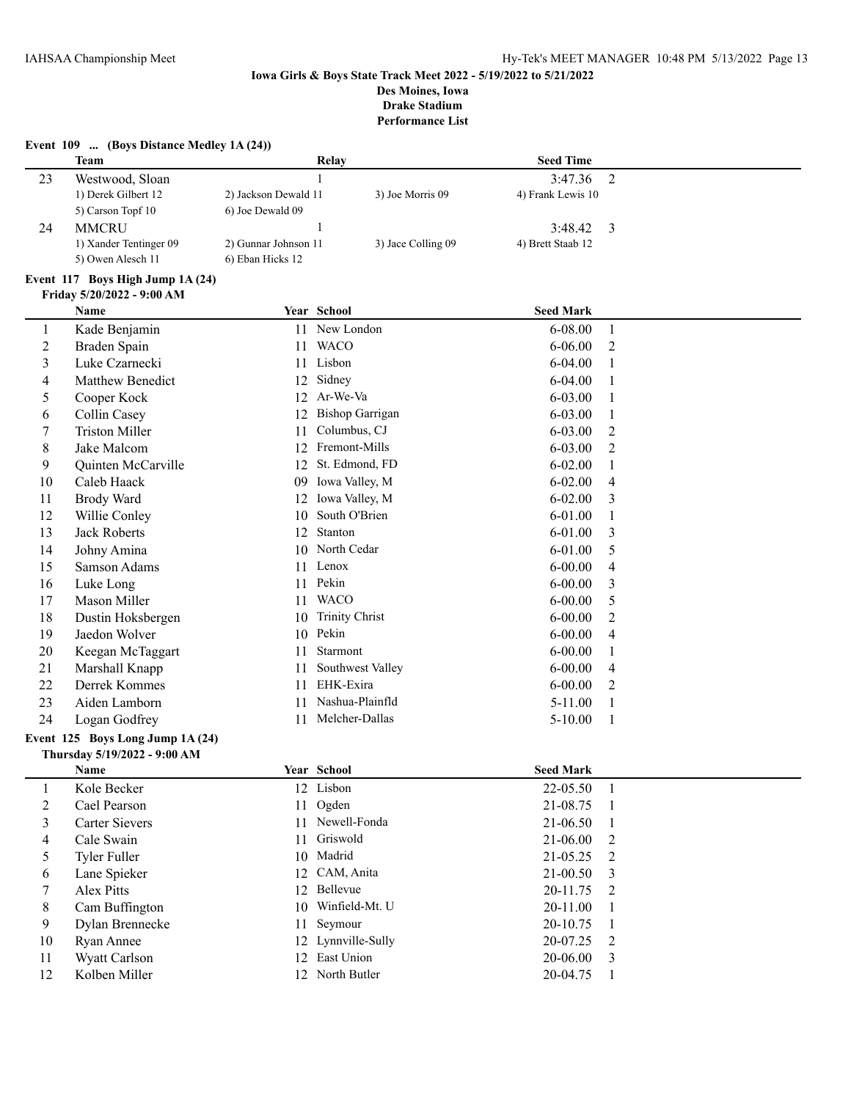# **Event 109 ... (Boys Distance Medley 1A (24)) Team Relay Relay Seed Time**

| 23 | Westwood, Sloan        |                      |                    | 3:47.36           |  |
|----|------------------------|----------------------|--------------------|-------------------|--|
|    | 1) Derek Gilbert 12    | 2) Jackson Dewald 11 | 3) Joe Morris 09   | 4) Frank Lewis 10 |  |
|    | 5) Carson Topf 10      | 6) Joe Dewald 09     |                    |                   |  |
|    | <b>MMCRU</b>           |                      |                    | 3:48.42           |  |
|    | 1) Xander Tentinger 09 | 2) Gunnar Johnson 11 | 3) Jace Colling 09 | 4) Brett Staab 12 |  |
|    | 5) Owen Alesch 11      | 6) Eban Hicks 12     |                    |                   |  |

#### **Event 117 Boys High Jump 1A (24)**

|                | Name                             |    | Year School            | <b>Seed Mark</b> |                |  |  |
|----------------|----------------------------------|----|------------------------|------------------|----------------|--|--|
| 1              | Kade Benjamin                    | 11 | New London             | $6 - 08.00$      | -1             |  |  |
| $\overline{c}$ | Braden Spain                     | 11 | <b>WACO</b>            | $6 - 06.00$      | 2              |  |  |
| $\overline{3}$ | Luke Czarnecki                   | 11 | Lisbon                 | 6-04.00          |                |  |  |
| 4              | <b>Matthew Benedict</b>          | 12 | Sidney                 | $6 - 04.00$      |                |  |  |
| 5              | Cooper Kock                      | 12 | Ar-We-Va               | $6 - 03.00$      |                |  |  |
| 6              | Collin Casey                     | 12 | <b>Bishop Garrigan</b> | $6 - 03.00$      | 1              |  |  |
| 7              | <b>Triston Miller</b>            | 11 | Columbus, CJ           | 6-03.00          | 2              |  |  |
| 8              | Jake Malcom                      | 12 | Fremont-Mills          | $6 - 03.00$      | 2              |  |  |
| 9              | Quinten McCarville               | 12 | St. Edmond, FD         | $6 - 02.00$      |                |  |  |
| 10             | Caleb Haack                      | 09 | Iowa Valley, M         | $6 - 02.00$      | $\overline{4}$ |  |  |
| 11             | Brody Ward                       | 12 | Iowa Valley, M         | $6 - 02.00$      | 3              |  |  |
| 12             | Willie Conley                    | 10 | South O'Brien          | $6 - 01.00$      | 1              |  |  |
| 13             | <b>Jack Roberts</b>              | 12 | Stanton                | 6-01.00          | 3              |  |  |
| 14             | Johny Amina                      | 10 | North Cedar            | $6 - 01.00$      | 5              |  |  |
| 15             | Samson Adams                     | 11 | Lenox                  | $6 - 00.00$      | 4              |  |  |
| 16             | Luke Long                        | 11 | Pekin                  | $6 - 00.00$      | 3              |  |  |
| 17             | Mason Miller                     | 11 | <b>WACO</b>            | $6 - 00.00$      | 5              |  |  |
| 18             | Dustin Hoksbergen                | 10 | <b>Trinity Christ</b>  | $6 - 00.00$      | 2              |  |  |
| 19             | Jaedon Wolver                    | 10 | Pekin                  | $6 - 00.00$      | $\overline{4}$ |  |  |
| 20             | Keegan McTaggart                 | 11 | Starmont               | $6 - 00.00$      |                |  |  |
| 21             | Marshall Knapp                   | 11 | Southwest Valley       | $6 - 00.00$      | $\overline{4}$ |  |  |
| 22             | Derrek Kommes                    | 11 | EHK-Exira              | $6 - 00.00$      | 2              |  |  |
| 23             | Aiden Lamborn                    | 11 | Nashua-Plainfld        | $5 - 11.00$      | -1             |  |  |
| 24             | Logan Godfrey                    | 11 | Melcher-Dallas         | $5 - 10.00$      | -1             |  |  |
|                | Event 125 Boys Long Jump 1A (24) |    |                        |                  |                |  |  |
|                | Thursday 5/19/2022 - 9:00 AM     |    |                        |                  |                |  |  |

|    | <b>Name</b>     | <b>Year School</b> | <b>Seed Mark</b> |  |
|----|-----------------|--------------------|------------------|--|
|    | Kole Becker     | 12 Lisbon          | 22-05.50         |  |
| 2  | Cael Pearson    | 11 Ogden           | 21-08.75 1       |  |
| 3  | Carter Sievers  | 11 Newell-Fonda    | 21-06.50         |  |
| 4  | Cale Swain      | 11 Griswold        | $21-06.00$ 2     |  |
| 5  | Tyler Fuller    | 10 Madrid          | $21-05.25$ 2     |  |
| 6  | Lane Spieker    | 12 CAM, Anita      | $21-00.50$ 3     |  |
|    | Alex Pitts      | 12 Bellevue        | $20-11.75$ 2     |  |
| 8  | Cam Buffington  | 10 Winfield-Mt. U  | 20-11.00         |  |
| 9  | Dylan Brennecke | 11 Seymour         | $20-10.75$ 1     |  |
| 10 | Ryan Annee      | 12 Lynnville-Sully | $20-07.25$ 2     |  |
| 11 | Wyatt Carlson   | 12 East Union      | $20-06.00$ 3     |  |
| 12 | Kolben Miller   | 12 North Butler    | 20-04.75         |  |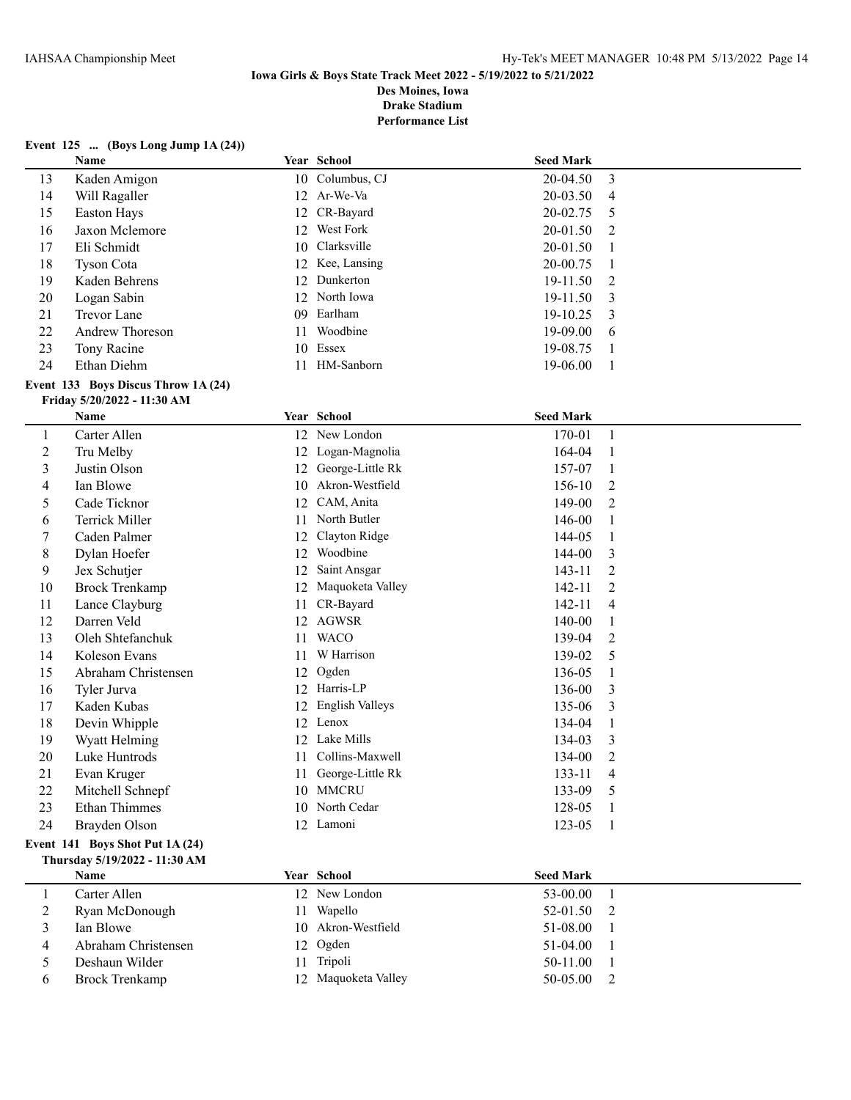**Performance List**

### **Event 125 ... (Boys Long Jump 1A (24))**

|                | Name                                |    | Year School            | <b>Seed Mark</b> |                |
|----------------|-------------------------------------|----|------------------------|------------------|----------------|
| 13             | Kaden Amigon                        |    | 10 Columbus, CJ        | 20-04.50         | 3              |
| 14             | Will Ragaller                       |    | 12 Ar-We-Va            | 20-03.50         | 4              |
| 15             | Easton Hays                         |    | 12 CR-Bayard           | 20-02.75         | 5              |
| 16             | Jaxon Mclemore                      |    | 12 West Fork           | 20-01.50         | 2              |
| 17             | Eli Schmidt                         |    | 10 Clarksville         | 20-01.50         | 1              |
| 18             | <b>Tyson Cota</b>                   |    | 12 Kee, Lansing        | 20-00.75         | $\mathbf{1}$   |
| 19             | Kaden Behrens                       |    | 12 Dunkerton           | 19-11.50         | $\overline{2}$ |
| 20             | Logan Sabin                         |    | 12 North Iowa          | 19-11.50         | 3              |
| 21             | Trevor Lane                         |    | 09 Earlham             | 19-10.25         | 3              |
| 22             | Andrew Thoreson                     | 11 | Woodbine               | 19-09.00         | 6              |
| 23             | Tony Racine                         |    | 10 Essex               | 19-08.75         | 1              |
| 24             | Ethan Diehm                         |    | 11 HM-Sanborn          | 19-06.00         | 1              |
|                | Event 133 Boys Discus Throw 1A (24) |    |                        |                  |                |
|                | Friday 5/20/2022 - 11:30 AM         |    |                        |                  |                |
|                | Name                                |    | Year School            | <b>Seed Mark</b> |                |
| $\mathbf{1}$   | Carter Allen                        |    | 12 New London          | 170-01           | $\mathbf{1}$   |
| $\overline{c}$ | Tru Melby                           |    | 12 Logan-Magnolia      | 164-04           | 1              |
| 3              | Justin Olson                        | 12 | George-Little Rk       | 157-07           | 1              |
| 4              | Ian Blowe                           |    | 10 Akron-Westfield     | 156-10           | $\overline{c}$ |
| 5              | Cade Ticknor                        | 12 | CAM, Anita             | 149-00           | $\overline{2}$ |
| 6              | <b>Terrick Miller</b>               | 11 | North Butler           | 146-00           | 1              |
| 7              | Caden Palmer                        | 12 | Clayton Ridge          | 144-05           | 1              |
| 8              | Dylan Hoefer                        | 12 | Woodbine               | 144-00           | 3              |
| 9              | Jex Schutjer                        | 12 | Saint Ansgar           | 143-11           | 2              |
| 10             | <b>Brock Trenkamp</b>               | 12 | Maquoketa Valley       | 142-11           | $\overline{2}$ |
| 11             | Lance Clayburg                      | 11 | CR-Bayard              | 142-11           | 4              |
| 12             | Darren Veld                         |    | 12 AGWSR               | 140-00           | 1              |
| 13             | Oleh Shtefanchuk                    | 11 | <b>WACO</b>            | 139-04           | $\overline{2}$ |
| 14             | Koleson Evans                       | 11 | W Harrison             | 139-02           | 5              |
| 15             | Abraham Christensen                 | 12 | Ogden                  | 136-05           | $\mathbf{1}$   |
| 16             | Tyler Jurva                         |    | 12 Harris-LP           | 136-00           | 3              |
| 17             | Kaden Kubas                         | 12 | <b>English Valleys</b> | 135-06           | 3              |
| 18             | Devin Whipple                       |    | 12 Lenox               | 134-04           | $\mathbf{1}$   |
| 19             | Wyatt Helming                       |    | 12 Lake Mills          | 134-03           | 3              |
| 20             | Luke Huntrods                       |    | 11 Collins-Maxwell     | 134-00           | $\overline{2}$ |
| 21             | Evan Kruger                         |    | 11 George-Little Rk    | 133-11           | $\overline{4}$ |
| 22             | Mitchell Schnepf                    |    | 10 MMCRU               | 133-09           | 5              |
| 23             | <b>Ethan Thimmes</b>                |    | 10 North Cedar         | 128-05           | -1             |
| 24             | Brayden Olson                       |    | 12 Lamoni              | 123-05           | -1             |
|                | Event 141 Boys Shot Put 1A (24)     |    |                        |                  |                |
|                | Thursday 5/19/2022 - 11:30 AM       |    |                        |                  |                |
|                | Name                                |    | Year School            | <b>Seed Mark</b> |                |
| $\mathbf{1}$   | Carter Allen                        |    | 12 New London          | 53-00.00         | 1              |
| 2              | Ryan McDonough                      |    | 11 Wapello             | 52-01.50         | 2              |
| 3              | Ian Blowe                           |    | 10 Akron-Westfield     | 51-08.00         | 1              |
| 4              | Abraham Christensen                 |    | 12 Ogden               | 51-04.00         | 1              |
| 5              | Deshaun Wilder                      |    | 11 Tripoli             | 50-11.00         | 1              |
| 6              | <b>Brock Trenkamp</b>               |    | 12 Maquoketa Valley    | 50-05.00         | $\overline{2}$ |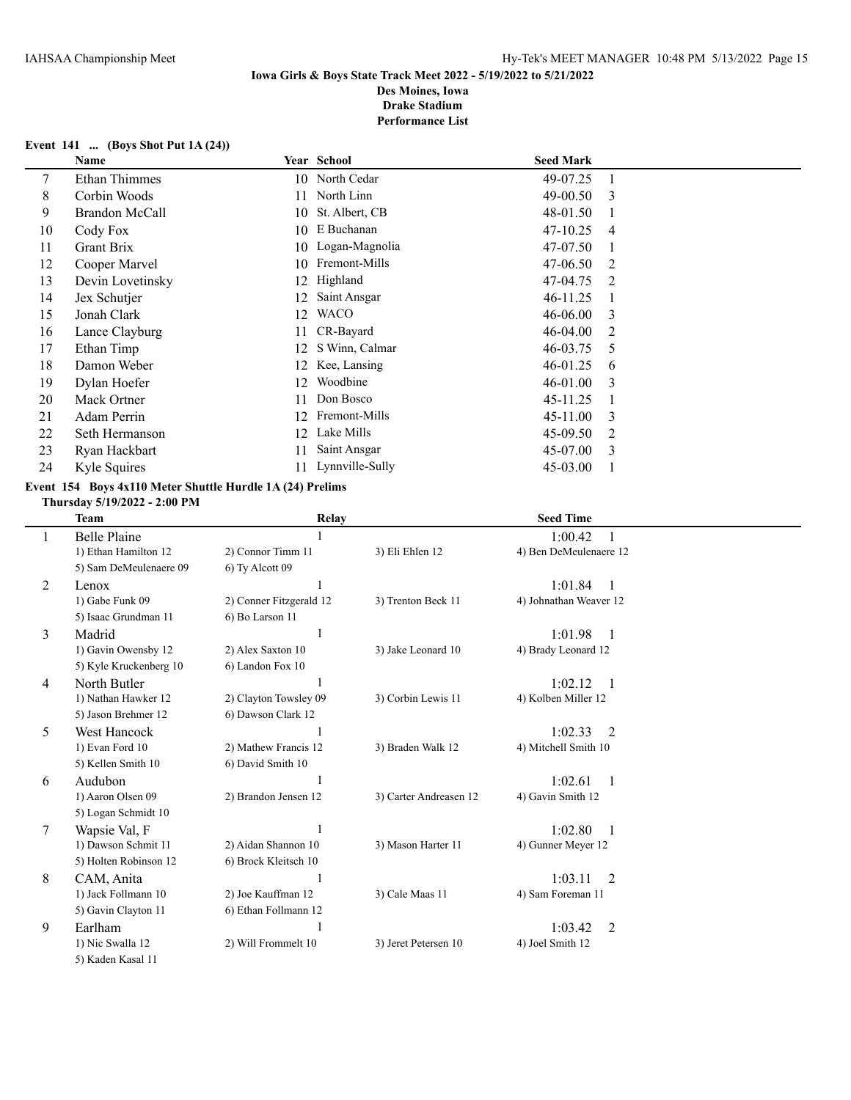#### **Event 141 ... (Boys Shot Put 1A (24))**

|    | <b>Name</b>          |     | Year School       | <b>Seed Mark</b> |                |
|----|----------------------|-----|-------------------|------------------|----------------|
| 7  | <b>Ethan Thimmes</b> |     | 10 North Cedar    | 49-07.25         | -1             |
| 8  | Corbin Woods         | 11  | North Linn        | $49 - 00.50$     | -3             |
| 9  | Brandon McCall       | 10  | St. Albert, CB    | 48-01.50         |                |
| 10 | Cody Fox             | 10  | E Buchanan        | 47-10.25         | $\overline{4}$ |
| 11 | Grant Brix           |     | 10 Logan-Magnolia | 47-07.50         |                |
| 12 | Cooper Marvel        | 10  | Fremont-Mills     | $47 - 06.50$     | $\mathcal{L}$  |
| 13 | Devin Lovetinsky     | 12  | Highland          | 47-04.75         | $\mathcal{L}$  |
| 14 | Jex Schutjer         | 12  | Saint Ansgar      | 46-11.25         |                |
| 15 | Jonah Clark          | 12  | <b>WACO</b>       | 46-06.00         | 3              |
| 16 | Lance Clayburg       | 11  | CR-Bayard         | 46-04.00         | 2              |
| 17 | Ethan Timp           | 12  | S Winn, Calmar    | 46-03.75         | 5              |
| 18 | Damon Weber          | 12  | Kee, Lansing      | $46 - 01.25$     | 6              |
| 19 | Dylan Hoefer         | 12  | Woodbine          | 46-01.00         | 3              |
| 20 | Mack Ortner          | 11  | Don Bosco         | 45-11.25         |                |
| 21 | Adam Perrin          | 12  | Fremont-Mills     | $45 - 11.00$     | 3              |
| 22 | Seth Hermanson       | 12  | Lake Mills        | 45-09.50         | 2              |
| 23 | Ryan Hackbart        | 11  | Saint Ansgar      | 45-07.00         | $\mathcal{E}$  |
| 24 | Kyle Squires         | 11. | Lynnville-Sully   | $45 - 03.00$     |                |

## **Event 154 Boys 4x110 Meter Shuttle Hurdle 1A (24) Prelims**

**Thursday 5/19/2022 - 2:00 PM**

|   | <b>Team</b>            | Relay                   |                        | <b>Seed Time</b>                         |  |
|---|------------------------|-------------------------|------------------------|------------------------------------------|--|
| 1 | <b>Belle Plaine</b>    | 1                       |                        | 1:00.42<br>1                             |  |
|   | 1) Ethan Hamilton 12   | 2) Connor Timm 11       | 3) Eli Ehlen 12        | 4) Ben DeMeulenaere 12                   |  |
|   | 5) Sam DeMeulenaere 09 | 6) Ty Alcott 09         |                        |                                          |  |
| 2 | Lenox                  | 1                       |                        | 1:01.84<br>1                             |  |
|   | 1) Gabe Funk 09        | 2) Conner Fitzgerald 12 | 3) Trenton Beck 11     | 4) Johnathan Weaver 12                   |  |
|   | 5) Isaac Grundman 11   | 6) Bo Larson 11         |                        |                                          |  |
| 3 | Madrid                 | 1                       |                        | 1:01.98<br>$\overline{1}$                |  |
|   | 1) Gavin Owensby 12    | 2) Alex Saxton 10       | 3) Jake Leonard 10     | 4) Brady Leonard 12                      |  |
|   | 5) Kyle Kruckenberg 10 | 6) Landon Fox 10        |                        |                                          |  |
| 4 | North Butler           | 1                       |                        | 1:02.12<br>$\overline{1}$                |  |
|   | 1) Nathan Hawker 12    | 2) Clayton Towsley 09   | 3) Corbin Lewis 11     | 4) Kolben Miller 12                      |  |
|   | 5) Jason Brehmer 12    | 6) Dawson Clark 12      |                        |                                          |  |
| 5 | <b>West Hancock</b>    | 1                       |                        | 1:02.33<br>$\mathfrak{D}$                |  |
|   | 1) Evan Ford 10        | 2) Mathew Francis 12    | 3) Braden Walk 12      | 4) Mitchell Smith 10                     |  |
|   | 5) Kellen Smith 10     | 6) David Smith 10       |                        |                                          |  |
| 6 | Audubon                | 1                       |                        | 1:02.61<br>$\overline{1}$                |  |
|   | 1) Aaron Olsen 09      | 2) Brandon Jensen 12    | 3) Carter Andreasen 12 | 4) Gavin Smith 12                        |  |
|   | 5) Logan Schmidt 10    |                         |                        |                                          |  |
| 7 | Wapsie Val, F          | 1                       |                        | 1:02.80<br>$\mathbf{1}$                  |  |
|   | 1) Dawson Schmit 11    | 2) Aidan Shannon 10     | 3) Mason Harter 11     | 4) Gunner Meyer 12                       |  |
|   | 5) Holten Robinson 12  | 6) Brock Kleitsch 10    |                        |                                          |  |
| 8 | CAM, Anita             | 1                       |                        | 1:03.11<br>$\mathfrak{D}$                |  |
|   | 1) Jack Follmann 10    | 2) Joe Kauffman 12      | 3) Cale Maas 11        | 4) Sam Foreman 11                        |  |
|   | 5) Gavin Clayton 11    | 6) Ethan Follmann 12    |                        |                                          |  |
| 9 | Earlham                | 1                       |                        | 1:03.42<br>$\mathfrak{D}_{\mathfrak{p}}$ |  |
|   | 1) Nic Swalla 12       | 2) Will Frommelt 10     | 3) Jeret Petersen 10   | 4) Joel Smith 12                         |  |
|   | 5) Kaden Kasal 11      |                         |                        |                                          |  |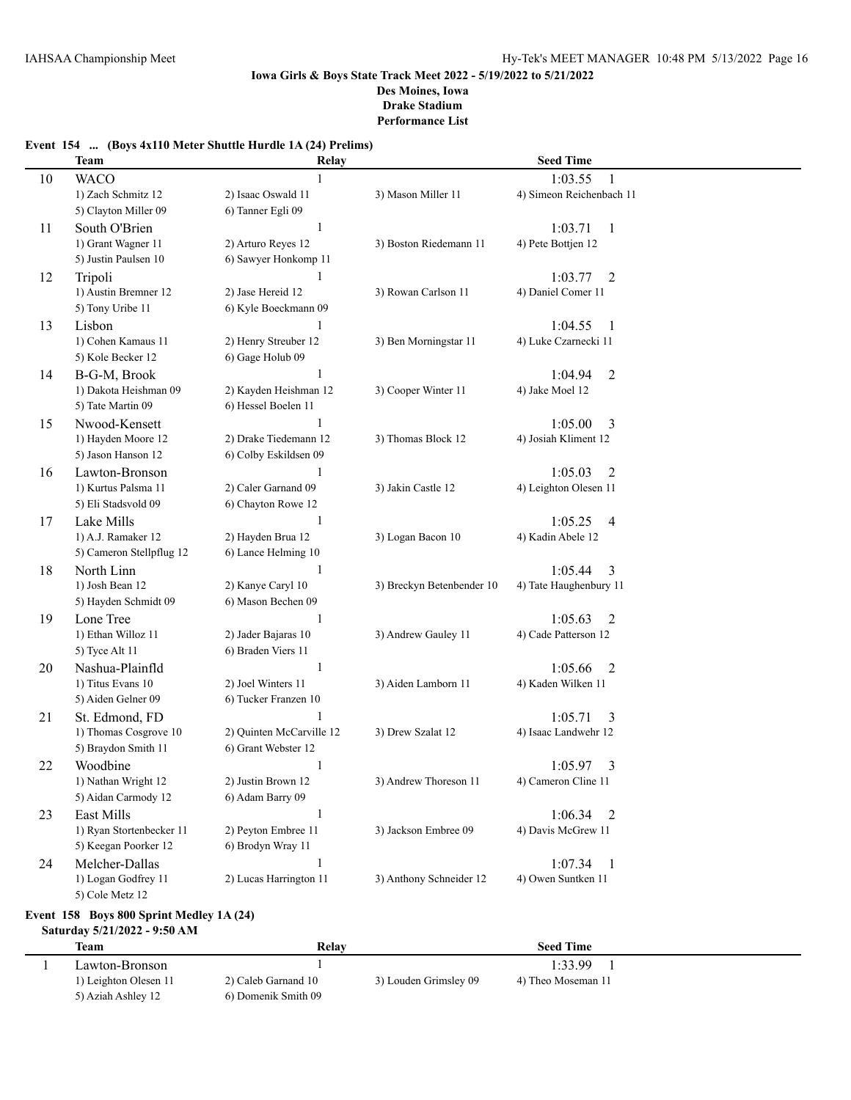## **Event 154 ... (Boys 4x110 Meter Shuttle Hurdle 1A (24) Prelims)**

|    | <b>Team</b>              | Relay                    |                           | <b>Seed Time</b>          |
|----|--------------------------|--------------------------|---------------------------|---------------------------|
| 10 | <b>WACO</b>              |                          |                           | 1:03.55                   |
|    | 1) Zach Schmitz 12       | 2) Isaac Oswald 11       | 3) Mason Miller 11        | 4) Simeon Reichenbach 11  |
|    | 5) Clayton Miller 09     | 6) Tanner Egli 09        |                           |                           |
| 11 | South O'Brien            | $\mathbf{1}$             |                           | 1:03.71<br>-1             |
|    | 1) Grant Wagner 11       | 2) Arturo Reyes 12       | 3) Boston Riedemann 11    | 4) Pete Bottjen 12        |
|    | 5) Justin Paulsen 10     | 6) Sawyer Honkomp 11     |                           |                           |
| 12 | Tripoli                  | 1                        |                           | $\overline{2}$<br>1:03.77 |
|    | 1) Austin Bremner 12     | 2) Jase Hereid 12        | 3) Rowan Carlson 11       | 4) Daniel Comer 11        |
|    | 5) Tony Uribe 11         | 6) Kyle Boeckmann 09     |                           |                           |
| 13 | Lisbon                   |                          |                           | 1:04.55<br>-1             |
|    | 1) Cohen Kamaus 11       | 2) Henry Streuber 12     | 3) Ben Morningstar 11     | 4) Luke Czarnecki 11      |
|    | 5) Kole Becker 12        | 6) Gage Holub 09         |                           |                           |
| 14 | B-G-M, Brook             |                          |                           | $\overline{2}$<br>1:04.94 |
|    | 1) Dakota Heishman 09    | 2) Kayden Heishman 12    | 3) Cooper Winter 11       | 4) Jake Moel 12           |
|    | 5) Tate Martin 09        | 6) Hessel Boelen 11      |                           |                           |
| 15 | Nwood-Kensett            |                          |                           | 1:05.00<br>3              |
|    | 1) Hayden Moore 12       | 2) Drake Tiedemann 12    | 3) Thomas Block 12        | 4) Josiah Kliment 12      |
|    | 5) Jason Hanson 12       | 6) Colby Eskildsen 09    |                           |                           |
| 16 | Lawton-Bronson           | 1                        |                           | 1:05.03<br>2              |
|    | 1) Kurtus Palsma 11      | 2) Caler Garnand 09      | 3) Jakin Castle 12        | 4) Leighton Olesen 11     |
|    | 5) Eli Stadsvold 09      | 6) Chayton Rowe 12       |                           |                           |
| 17 | Lake Mills               | 1                        |                           | 1:05.25<br>4              |
|    | 1) A.J. Ramaker 12       | 2) Hayden Brua 12        | 3) Logan Bacon 10         | 4) Kadin Abele 12         |
|    | 5) Cameron Stellpflug 12 | 6) Lance Helming 10      |                           |                           |
| 18 | North Linn               | $\mathbf{1}$             |                           | 1:05.44<br>3              |
|    | 1) Josh Bean 12          | 2) Kanye Caryl 10        | 3) Breckyn Betenbender 10 | 4) Tate Haughenbury 11    |
|    | 5) Hayden Schmidt 09     | 6) Mason Bechen 09       |                           |                           |
| 19 | Lone Tree                | $\mathbf{1}$             |                           | 1:05.63<br>2              |
|    | 1) Ethan Willoz 11       | 2) Jader Bajaras 10      | 3) Andrew Gauley 11       | 4) Cade Patterson 12      |
|    | 5) Tyce Alt 11           | 6) Braden Viers 11       |                           |                           |
| 20 | Nashua-Plainfld          | $\mathbf{1}$             |                           | 1:05.66<br>$\overline{2}$ |
|    | 1) Titus Evans 10        | 2) Joel Winters 11       | 3) Aiden Lamborn 11       | 4) Kaden Wilken 11        |
|    | 5) Aiden Gelner 09       | 6) Tucker Franzen 10     |                           |                           |
| 21 | St. Edmond, FD           |                          |                           | 1:05.71<br>3              |
|    | 1) Thomas Cosgrove 10    | 2) Quinten McCarville 12 | 3) Drew Szalat 12         | 4) Isaac Landwehr 12      |
|    | 5) Braydon Smith 11      | 6) Grant Webster 12      |                           |                           |
| 22 | Woodbine                 | 1                        |                           | 1:05.97<br>3              |
|    | 1) Nathan Wright 12      | 2) Justin Brown 12       | 3) Andrew Thoreson 11     | 4) Cameron Cline 11       |
|    | 5) Aidan Carmody 12      | 6) Adam Barry 09         |                           |                           |
| 23 | East Mills               | $\mathbf{1}$             |                           | 1:06.34<br>2              |
|    | 1) Ryan Stortenbecker 11 | 2) Peyton Embree 11      | 3) Jackson Embree 09      | 4) Davis McGrew 11        |
|    | 5) Keegan Poorker 12     | 6) Brodyn Wray 11        |                           |                           |
| 24 | Melcher-Dallas           | $\mathbf{1}$             |                           | 1:07.34<br>$\mathbf{1}$   |
|    | 1) Logan Godfrey 11      | 2) Lucas Harrington 11   | 3) Anthony Schneider 12   | 4) Owen Suntken 11        |
|    | 5) Cole Metz 12          |                          |                           |                           |

## **Event 158 Boys 800 Sprint Medley 1A (24)**

## **Saturday 5/21/2022 - 9:50 AM**

| <b>Team</b>           | Relay               |                       | <b>Seed Time</b>   |  |
|-----------------------|---------------------|-----------------------|--------------------|--|
| Lawton-Bronson        |                     |                       | 1:33.99            |  |
| 1) Leighton Olesen 11 | 2) Caleb Garnand 10 | 3) Louden Grimsley 09 | 4) Theo Moseman 11 |  |
| 5) Aziah Ashley 12    | 6) Domenik Smith 09 |                       |                    |  |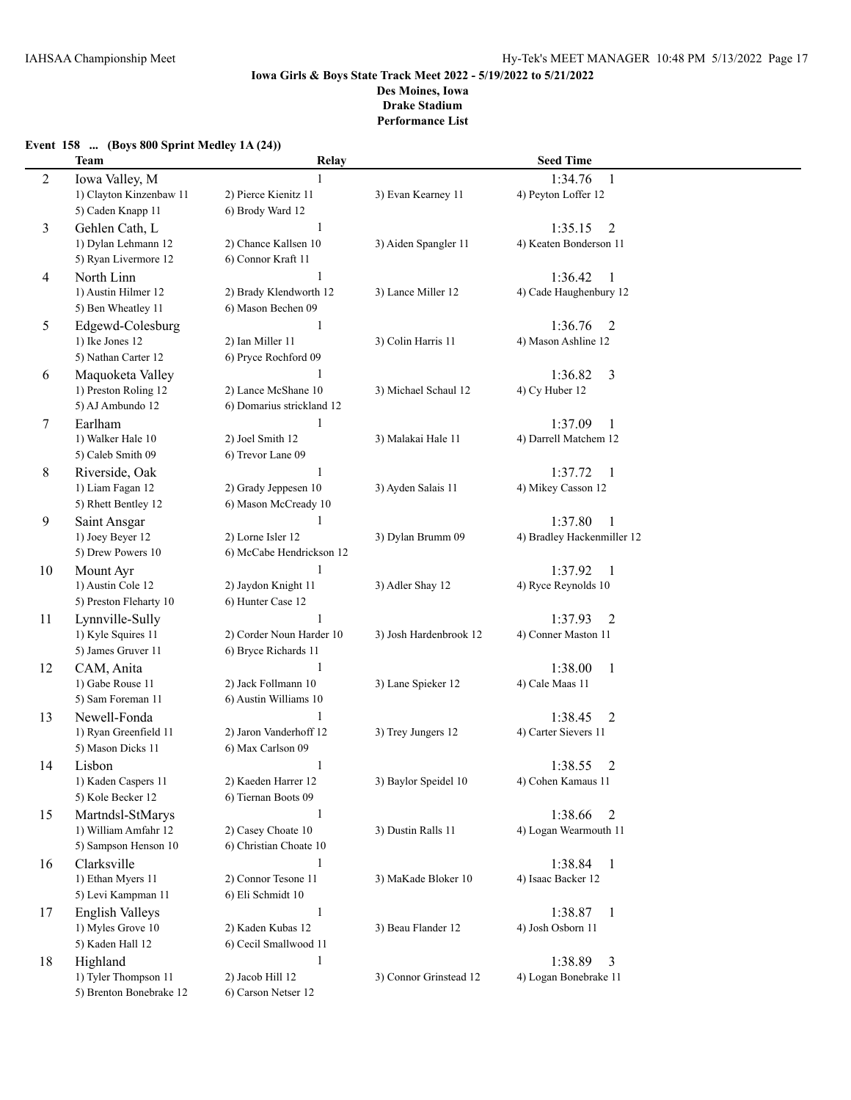## **Event 158 ... (Boys 800 Sprint Medley 1A (24)) Team Relay Seed Time** 2 Iowa Valley, M 1:34.76 1 1) Clayton Kinzenbaw 11 2) Pierce Kienitz 11 3) Evan Kearney 11 4) Peyton Loffer 12 5) Caden Knapp 11 6) Brody Ward 12 3 Gehlen Cath, L<br>1) Dylan Lehmann 12 2) Chance Kallsen 10 3) Aiden Spangler 11 4) Keaten Bonderson 11 1) Dylan Lehmann 12 2) Chance Kallsen 10 3) Aiden Spangler 11 5) Ryan Livermore 12 6) Connor Kraft 11 4 North Linn 1:36.42 1 1) Austin Hilmer 12 2) Brady Klendworth 12 3) Lance Miller 12 4) Cade Haughenbury 12 5) Ben Wheatley 11 6) Mason Bechen 09 5 Edgewd-Colesburg 1 1:36.76 2 1) Ike Jones 12 2) Ian Miller 11 3) Colin Harris 11 4) Mason Ashline 12 5) Nathan Carter 12 6) Pryce Rochford 09 6 Maquoketa Valley 1 1:36.82 3 1) Preston Roling 12 2) Lance McShane 10 3) Michael Schaul 12 4) Cy Huber 12 5) AJ Ambundo 12 6) Domarius strickland 12 7 Earlham 1 1:37.09 1 1) Walker Hale 10 2) Joel Smith 12 3) Malakai Hale 11 4) Darrell Matchem 12 5) Caleb Smith 09 6) Trevor Lane 09 8 Riverside, Oak 1 1:37.72 1 1) Liam Fagan 12 2) Grady Jeppesen 10 3) Ayden Salais 11 4) Mikey Casson 12 5) Rhett Bentley 12 6) Mason McCready 10 9 Saint Ansgar 1 1 1:37.80 1 1) Joey Beyer 12 2) Lorne Isler 12 3) Dylan Brumm 09 4) Bradley Hackenmiller 12 5) Drew Powers 10 6) McCabe Hendrickson 12 10 Mount Ayr 1:37.92 1 1) Austin Cole 12 2) Jaydon Knight 11 3) Adler Shay 12 4) Ryce Reynolds 10 5) Preston Fleharty 10 6) Hunter Case 12 1 Lynnville-Sully 1 1:37.93 2 1) Kyle Squires 11 2) Corder Noun Harder 10 3) Josh Hardenbrook 12 4) Conner Maston 11 5) James Gruver 11 6) Bryce Richards 11 12 CAM, Anita 1 1:38.00 1 1) Gabe Rouse 11 2) Jack Follmann 10 3) Lane Spieker 12 4) Cale Maas 11 5) Sam Foreman 11 6) Austin Williams 10 13 Newell-Fonda 1 1 1 1 2 1:38.45 2 1) Ryan Greenfield 11 2) Jaron Vanderhoff 12 3) Trey Jungers 12 4) Carter Sievers 11 5) Mason Dicks 11 6) Max Carlson 09 14 Lisbon 1 1:38.55 2 1) Kaden Caspers 11 2) Kaeden Harrer 12 3) Baylor Speidel 10 4) Cohen Kamaus 11 5) Kole Becker 12 6) Tiernan Boots 09 15 Martndsl-StMarys 1 1:38.66 2 1) William Amfahr 12 2) Casey Choate 10 3) Dustin Ralls 11 4) Logan Wearmouth 11 5) Sampson Henson 10 6) Christian Choate 10 16 Clarksville 1 1:38.84 1 1) Ethan Myers 11 2) Connor Tesone 11 3) MaKade Bloker 10 4) Isaac Backer 12 5) Levi Kampman 11 6) Eli Schmidt 10 17 English Valleys 1:38.87 1 1) Myles Grove 10 2) Kaden Kubas 12 3) Beau Flander 12 4) Josh Osborn 11 5) Kaden Hall 12 6) Cecil Smallwood 11 18 Highland 1 1 1:38.89 3 1) Tyler Thompson 11 2) Jacob Hill 12 3) Connor Grinstead 12 4) Logan Bonebrake 11 5) Brenton Bonebrake 12 6) Carson Netser 12